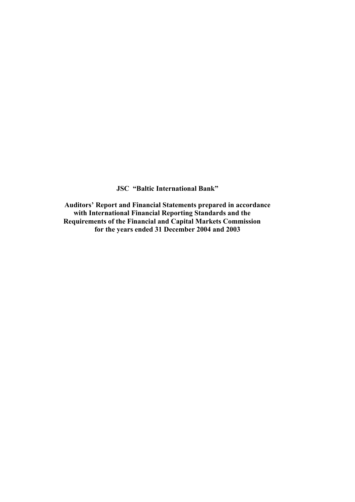**JSC "Baltic International Bank"** 

**Auditors' Report and Financial Statements prepared in accordance with International Financial Reporting Standards and the Requirements of the Financial and Capital Markets Commission for the years ended 31 December 2004 and 2003**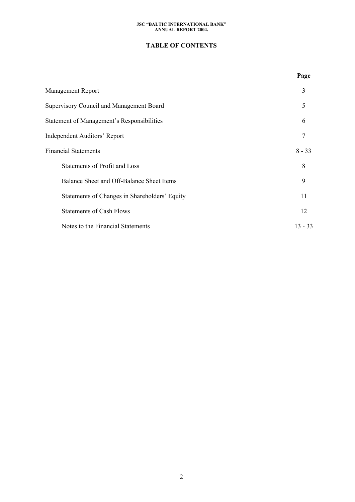# **TABLE OF CONTENTS**

|                                                   | Page      |
|---------------------------------------------------|-----------|
| <b>Management Report</b>                          | 3         |
| Supervisory Council and Management Board          | 5         |
| <b>Statement of Management's Responsibilities</b> | 6         |
| <b>Independent Auditors' Report</b>               | 7         |
| <b>Financial Statements</b>                       | $8 - 33$  |
| Statements of Profit and Loss                     | 8         |
| Balance Sheet and Off-Balance Sheet Items         | 9         |
| Statements of Changes in Shareholders' Equity     | 11        |
| <b>Statements of Cash Flows</b>                   | 12        |
| Notes to the Financial Statements                 | $13 - 33$ |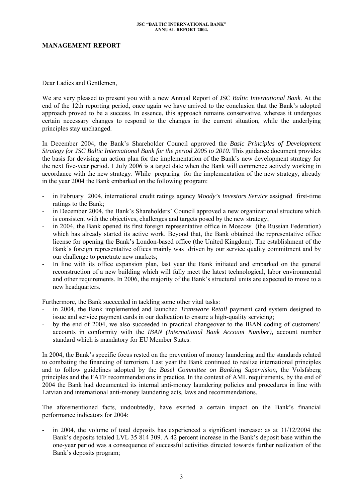## **MANAGEMENT REPORT**

Dear Ladies and Gentlemen,

We are very pleased to present you with a new Annual Report of JSC *Baltic International Bank*. At the end of the 12th reporting period, once again we have arrived to the conclusion that the Bank's adopted approach proved to be a success. In essence, this approach remains conservative, whereas it undergoes certain necessary changes to respond to the changes in the current situation, while the underlying principles stay unchanged.

In December 2004, the Bank's Shareholder Council approved the *Basic Principles of Development Strategy for JSC Baltic International Bank for the period 2005 to 2010. This guidance document provides* the basis for devising an action plan for the implementation of the Bank's new development strategy for the next five-year period. 1 July 2006 is a target date when the Bank will commence actively working in accordance with the new strategy. While preparing for the implementation of the new strategy, already in the year 2004 the Bank embarked on the following program:

- in February 2004, international credit ratings agency *Moody's Investors Service* assigned first-time ratings to the Bank;
- in December 2004, the Bank's Shareholders' Council approved a new organizational structure which is consistent with the objectives, challenges and targets posed by the new strategy;
- in 2004, the Bank opened its first foreign representative office in Moscow (the Russian Federation) which has already started its active work. Beyond that, the Bank obtained the representative office license for opening the Bank's London-based office (the United Kingdom). The establishment of the Bank's foreign representative offices mainly was driven by our service quality commitment and by our challenge to penetrate new markets;
- In line with its office expansion plan, last year the Bank initiated and embarked on the general reconstruction of a new building which will fully meet the latest technological, labor environmental and other requirements. In 2006, the majority of the Bank's structural units are expected to move to a new headquarters.

Furthermore, the Bank succeeded in tackling some other vital tasks:

- in 2004, the Bank implemented and launched *Transware Retail* payment card system designed to issue and service payment cards in our dedication to ensure a high-quality servicing;
- by the end of 2004, we also succeeded in practical changeover to the IBAN coding of customers' accounts in conformity with the *IBAN (International Bank Account Number),* account number standard which is mandatory for EU Member States.

In 2004, the Bank's specific focus rested on the prevention of money laundering and the standards related to combating the financing of terrorism. Last year the Bank continued to realize international principles and to follow guidelines adopted by the *Basel Committee on Banking Supervision*, the Volsfsberg principles and the FATF recommendations in practice*.* In the context of AML requirements, by the end of 2004 the Bank had documented its internal anti-money laundering policies and procedures in line with Latvian and international anti-money laundering acts, laws and recommendations.

The aforementioned facts, undoubtedly, have exerted a certain impact on the Bank's financial performance indicators for 2004:

in 2004, the volume of total deposits has experienced a significant increase: as at  $31/12/2004$  the Bank's deposits totaled LVL 35 814 309. A 42 percent increase in the Bank's deposit base within the one-year period was a consequence of successful activities directed towards further realization of the Bank's deposits program;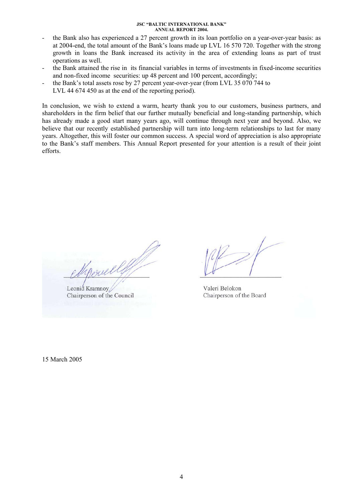- the Bank also has experienced a 27 percent growth in its loan portfolio on a year-over-year basis: as at 2004-end, the total amount of the Bank's loans made up LVL 16 570 720. Together with the strong growth in loans the Bank increased its activity in the area of extending loans as part of trust operations as well.
- the Bank attained the rise in its financial variables in terms of investments in fixed-income securities and non-fixed income securities: up 48 percent and 100 percent, accordingly;
- the Bank's total assets rose by 27 percent year-over-year (from LVL 35 070 744 to LVL 44 674 450 as at the end of the reporting period).

In conclusion, we wish to extend a warm, hearty thank you to our customers, business partners, and shareholders in the firm belief that our further mutually beneficial and long-standing partnership, which has already made a good start many years ago, will continue through next year and beyond. Also, we believe that our recently established partnership will turn into long-term relationships to last for many years. Altogether, this will foster our common success. A special word of appreciation is also appropriate to the Bank's staff members. This Annual Report presented for your attention is a result of their joint efforts.

Leonid Kramnoy Chairperson of the Council

Valeri Belokon Chairperson of the Board

15 March 2005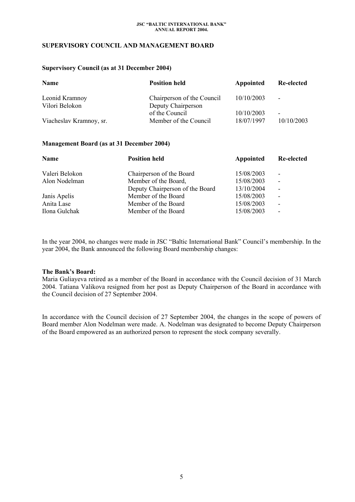## **SUPERVISORY COUNCIL AND MANAGEMENT BOARD**

### **Supervisory Council (as at 31 December 2004)**

| Name<br><b>Position held</b> |                            | Appointed  | Re-elected               |
|------------------------------|----------------------------|------------|--------------------------|
| Leonid Kramnoy               | Chairperson of the Council | 10/10/2003 | $\overline{\phantom{a}}$ |
| Vilori Belokon               | Deputy Chairperson         |            |                          |
|                              | of the Council             | 10/10/2003 | $\overline{\phantom{a}}$ |
| Viacheslav Kramnoy, sr.      | Member of the Council      | 18/07/1997 | 10/10/2003               |

## **Management Board (as at 31 December 2004)**

| Name<br><b>Position held</b> |                                                                                                                                                          | Re-elected               |
|------------------------------|----------------------------------------------------------------------------------------------------------------------------------------------------------|--------------------------|
|                              | 15/08/2003                                                                                                                                               | $\overline{\phantom{0}}$ |
|                              | 15/08/2003                                                                                                                                               | $\blacksquare$           |
|                              | 13/10/2004                                                                                                                                               | $\overline{\phantom{a}}$ |
|                              | 15/08/2003                                                                                                                                               | $\blacksquare$           |
|                              | 15/08/2003                                                                                                                                               | $\overline{\phantom{a}}$ |
|                              | 15/08/2003                                                                                                                                               | $\overline{\phantom{a}}$ |
|                              | Chairperson of the Board<br>Member of the Board,<br>Deputy Chairperson of the Board<br>Member of the Board<br>Member of the Board<br>Member of the Board | Appointed                |

In the year 2004, no changes were made in JSC "Baltic International Bank" Council's membership. In the year 2004, the Bank announced the following Board membership changes:

## **The Bank's Board:**

Maria Guliayeva retired as a member of the Board in accordance with the Council decision of 31 March 2004. Tatiana Valikova resigned from her post as Deputy Chairperson of the Board in accordance with the Council decision of 27 September 2004.

In accordance with the Council decision of 27 September 2004, the changes in the scope of powers of Board member Alon Nodelman were made. A. Nodelman was designated to become Deputy Chairperson of the Board empowered as an authorized person to represent the stock company severally.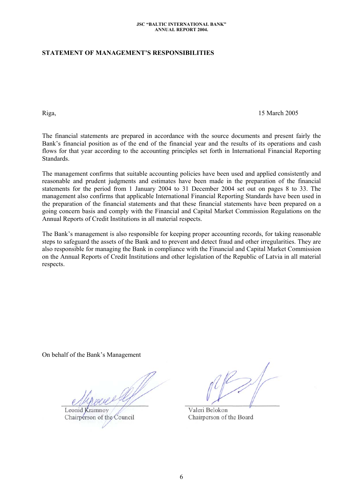# **STATEMENT OF MANAGEMENT'S RESPONSIBILITIES**

### Riga, 15 March 2005

The financial statements are prepared in accordance with the source documents and present fairly the Bank's financial position as of the end of the financial year and the results of its operations and cash flows for that year according to the accounting principles set forth in International Financial Reporting **Standards** 

The management confirms that suitable accounting policies have been used and applied consistently and reasonable and prudent judgments and estimates have been made in the preparation of the financial statements for the period from 1 January 2004 to 31 December 2004 set out on pages 8 to 33. The management also confirms that applicable International Financial Reporting Standards have been used in the preparation of the financial statements and that these financial statements have been prepared on a going concern basis and comply with the Financial and Capital Market Commission Regulations on the Annual Reports of Credit Institutions in all material respects.

The Bank's management is also responsible for keeping proper accounting records, for taking reasonable steps to safeguard the assets of the Bank and to prevent and detect fraud and other irregularities. They are also responsible for managing the Bank in compliance with the Financial and Capital Market Commission on the Annual Reports of Credit Institutions and other legislation of the Republic of Latvia in all material respects.

On behalf of the Bank's Management

Leonid Kramnoy Chairperson of the Council

Valeri Belokon Chairperson of the Board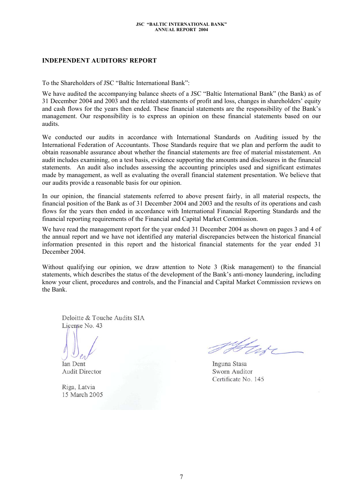# **INDEPENDENT AUDITORS' REPORT**

To the Shareholders of JSC "Baltic International Bank":

We have audited the accompanying balance sheets of a JSC "Baltic International Bank" (the Bank) as of 31 December 2004 and 2003 and the related statements of profit and loss, changes in shareholders' equity and cash flows for the years then ended. These financial statements are the responsibility of the Bank's management. Our responsibility is to express an opinion on these financial statements based on our audits.

We conducted our audits in accordance with International Standards on Auditing issued by the International Federation of Accountants. Those Standards require that we plan and perform the audit to obtain reasonable assurance about whether the financial statements are free of material misstatement. An audit includes examining, on a test basis, evidence supporting the amounts and disclosures in the financial statements. An audit also includes assessing the accounting principles used and significant estimates made by management, as well as evaluating the overall financial statement presentation. We believe that our audits provide a reasonable basis for our opinion.

In our opinion, the financial statements referred to above present fairly, in all material respects, the financial position of the Bank as of 31 December 2004 and 2003 and the results of its operations and cash flows for the years then ended in accordance with International Financial Reporting Standards and the financial reporting requirements of the Financial and Capital Market Commission.

We have read the management report for the year ended 31 December 2004 as shown on pages 3 and 4 of the annual report and we have not identified any material discrepancies between the historical financial information presented in this report and the historical financial statements for the year ended 31 December 2004.

Without qualifying our opinion, we draw attention to Note 3 (Risk management) to the financial statements, which describes the status of the development of the Bank's anti-money laundering, including know your client, procedures and controls, and the Financial and Capital Market Commission reviews on the Bank.

Deloitte & Touche Audits SIA License No. 43

**Ian Dent Audit Director** 

Riga, Latvia 15 March 2005

Inguna Stasa Sworn Auditor Certificate No. 145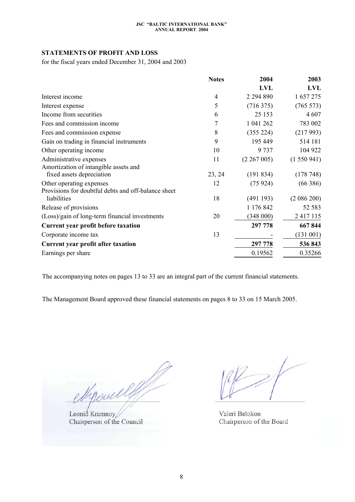# **STATEMENTS OF PROFIT AND LOSS**

for the fiscal years ended December 31, 2004 and 2003

|                                                     | <b>Notes</b> | 2004          | 2003       |
|-----------------------------------------------------|--------------|---------------|------------|
|                                                     |              | <b>LVL</b>    | <b>LVL</b> |
| Interest income                                     | 4            | 2 2 9 4 8 9 0 | 1 657 275  |
| Interest expense                                    | 5            | (716375)      | (765 573)  |
| Income from securities                              | 6            | 25 153        | 4 607      |
| Fees and commission income                          | 7            | 1 041 262     | 783 002    |
| Fees and commission expense                         | 8            | (355 224)     | (217993)   |
| Gain on trading in financial instruments            | 9            | 195 449       | 514 181    |
| Other operating income                              | 10           | 9 7 3 7       | 104 922    |
| Administrative expenses                             | 11           | (2 267 005)   | (1550941)  |
| Amortization of intangible assets and               |              |               |            |
| fixed assets depreciation                           | 23, 24       | (191834)      | (178748)   |
| Other operating expenses                            | 12           | (75924)       | (66386)    |
| Provisions for doubtful debts and off-balance sheet |              |               |            |
| liabilities                                         | 18           | (491193)      | (2086200)  |
| Release of provisions                               |              | 1 176 842     | 52 583     |
| (Loss)/gain of long-term financial investments      | 20           | (348000)      | 2 417 115  |
| <b>Current year profit before taxation</b>          |              | 297 778       | 667844     |
| Corporate income tax                                | 13           |               | (131 001)  |
| Current year profit after taxation                  |              | 297 778       | 536 843    |
| Earnings per share                                  |              | 0.19562       | 0.35266    |

The accompanying notes on pages 13 to 33 are an integral part of the current financial statements.

The Management Board approved these financial statements on pages 8 to 33 on 15 March 2005.

gerull

Leonid Kramnoy Chairperson of the Council

Valeri Belokon Chairperson of the Board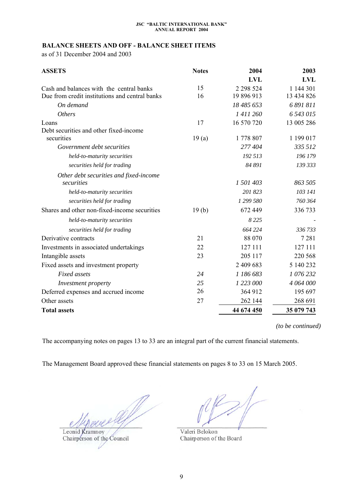# <span id="page-8-0"></span>**BALANCE SHEETS AND OFF - BALANCE SHEET ITEMS**

as of 31 December 2004 and 2003

| <b>ASSETS</b>                                  | <b>Notes</b> | 2004        | 2003       |
|------------------------------------------------|--------------|-------------|------------|
|                                                |              | <b>LVL</b>  | <b>LVL</b> |
| Cash and balances with the central banks       | 15           | 2 2 9 5 2 4 | 1 144 301  |
| Due from credit institutions and central banks | 16           | 19 896 913  | 13 434 826 |
| On demand                                      |              | 18 485 653  | 6 891 811  |
| <b>Others</b>                                  |              | 1 411 260   | 6 543 015  |
| Loans                                          | 17           | 16 570 720  | 13 005 286 |
| Debt securities and other fixed-income         |              |             |            |
| securities                                     | 19(a)        | 1778 807    | 1 199 017  |
| Government debt securities                     |              | 277 404     | 335 512    |
| held-to-maturity securities                    |              | 192 513     | 196 179    |
| securities held for trading                    |              | 84 891      | 139 333    |
| Other debt securities and fixed-income         |              |             |            |
| securities                                     |              | 1 501 403   | 863 505    |
| held-to-maturity securities                    |              | 201 823     | 103 141    |
| securities held for trading                    |              | 1 299 580   | 760 364    |
| Shares and other non-fixed-income securities   | 19(b)        | 672 449     | 336 733    |
| held-to-maturity securities                    |              | 8 2 2 5     |            |
| securities held for trading                    |              | 664 224     | 336 733    |
| Derivative contracts                           | 21           | 88 070      | 7 2 8 1    |
| Investments in associated undertakings         | 22           | 127 111     | 127 111    |
| Intangible assets                              | 23           | 205 117     | 220 568    |
| Fixed assets and investment property           |              | 2 409 683   | 5 140 232  |
| <b>Fixed</b> assets                            | 24           | 1 186 683   | 1 076 232  |
| Investment property                            | 25           | 1 223 000   | 4 064 000  |
| Deferred expenses and accrued income           | 26           | 364 912     | 195 697    |
| Other assets                                   | 27           | 262 144     | 268 691    |
| <b>Total assets</b>                            |              | 44 674 450  | 35 079 743 |

*(to be continued)* 

The accompanying notes on pages 13 to 33 are an integral part of the current financial statements.

The Management Board approved these financial statements on pages 8 to 33 on 15 March 2005.

Leonid Kramnoy

Chairperson of the Council

Valeri Belokon Chairperson of the Board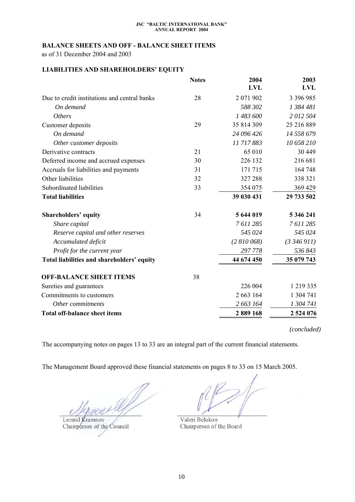# **BALANCE SHEETS AND OFF - BALANCE SHEET ITEMS**

as of 31 December 2004 and 2003

# **LIABILITIES AND SHAREHOLDERS' EQUITY**

|                                              | <b>Notes</b> | 2004<br><b>LVL</b> | 2003<br>LVL |
|----------------------------------------------|--------------|--------------------|-------------|
| Due to credit institutions and central banks | 28           | 2 071 902          | 3 396 985   |
| On demand                                    |              | 588 302            | 1 384 481   |
| <b>Others</b>                                |              | 1 483 600          | 2012504     |
| Customer deposits                            | 29           | 35 814 309         | 25 216 889  |
| On demand                                    |              | 24 096 426         | 14 558 679  |
| Other customer deposits                      |              | 11717883           | 10 658 210  |
| Derivative contracts                         | 21           | 65 010             | 30 449      |
| Deferred income and accrued expenses         | 30           | 226 132            | 216 681     |
| Accruals for liabilities and payments        | 31           | 171 715            | 164 748     |
| Other liabilities                            | 32           | 327 288            | 338 321     |
| Subordinated liabilities                     | 33           | 354 075            | 369 429     |
| <b>Total liabilities</b>                     |              | 39 030 431         | 29 733 502  |
| <b>Shareholders' equity</b>                  | 34           | 5 644 019          | 5 346 241   |
| Share capital                                |              | 7611285            | 7611285     |
| Reserve capital and other reserves           |              | 545 024            | 545 024     |
| Accumulated deficit                          |              | (2810068)          | (3,346,911) |
| Profit for the current year                  |              | 297 778            | 536 843     |
| Total liabilities and shareholders' equity   |              | 44 674 450         | 35 079 743  |
| <b>OFF-BALANCE SHEET ITEMS</b>               | 38           |                    |             |
| Sureties and guarantees                      |              | 226 004            | 1 219 335   |
| Commitments to customers                     |              | 2 663 164          | 1 304 741   |
| Other commitments                            |              | 2 663 164          | 1 304 741   |
| <b>Total off-balance sheet items</b>         |              | 2889168            | 2 524 076   |

*(concluded)* 

The accompanying notes on pages 13 to 33 are an integral part of the current financial statements.

The Management Board approved these financial statements on pages 8 to 33 on 15 March 2005.

Leonid Kramnoy Chairperson of the Council

Valeri Belokon Chairperson of the Board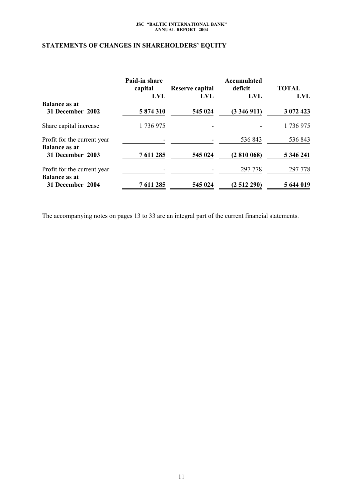# **STATEMENTS OF CHANGES IN SHAREHOLDERS' EQUITY**

|                             | Paid-in share<br>capital<br><b>LVL</b> | Reserve capital<br><b>LVL</b> | Accumulated<br>deficit<br><b>LVL</b> | <b>TOTAL</b><br><b>LVL</b> |  |
|-----------------------------|----------------------------------------|-------------------------------|--------------------------------------|----------------------------|--|
| <b>Balance as at</b>        |                                        |                               |                                      |                            |  |
| 31 December 2002            | 5874310                                | 545 024                       | (3346911)                            | 3 072 423                  |  |
| Share capital increase      | 1736975                                |                               |                                      | 1736975                    |  |
| Profit for the current year |                                        |                               | 536843                               | 536 843                    |  |
| <b>Balance as at</b>        |                                        |                               |                                      |                            |  |
| 31 December 2003            | 7 611 285                              | 545 024                       | (2810068)                            | 5 346 241                  |  |
| Profit for the current year |                                        |                               | 297 778                              | 297 778                    |  |
| <b>Balance as at</b>        |                                        |                               |                                      |                            |  |
| 31 December 2004            | 7 611 285                              | 545 024                       | (2512290)                            | 5 644 019                  |  |

The accompanying notes on pages 13 to 33 are an integral part of the current financial statements.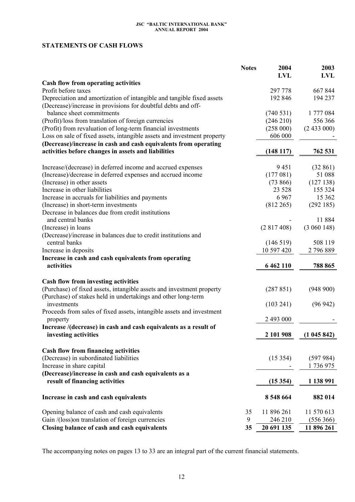# **STATEMENTS OF CASH FLOWS**

|                                                                                                                                        | <b>Notes</b> | 2004          | 2003        |
|----------------------------------------------------------------------------------------------------------------------------------------|--------------|---------------|-------------|
|                                                                                                                                        |              | <b>LVL</b>    | <b>LVL</b>  |
| Cash flow from operating activities                                                                                                    |              |               |             |
| Profit before taxes                                                                                                                    |              | 297 778       | 667 844     |
| Depreciation and amortization of intangible and tangible fixed assets<br>(Decrease)/increase in provisions for doubtful debts and off- |              | 192 846       | 194 237     |
| balance sheet commitments                                                                                                              |              | (740531)      | 1777084     |
| (Profit)/loss from translation of foreign currencies                                                                                   |              | (246 210)     | 556 366     |
| (Profit) from revaluation of long-term financial investments                                                                           |              | (258000)      | (2433000)   |
| Loss on sale of fixed assets, intangible assets and investment property                                                                |              | 606 000       |             |
| (Decrease)/increase in cash and cash equivalents from operating                                                                        |              |               |             |
| activities before changes in assets and liabilities                                                                                    |              | (148117)      | 762 531     |
| Increase/(decrease) in deferred income and accrued expenses                                                                            |              | 9451          | (32861)     |
| (Increase)/decrease in deferred expenses and accrued income                                                                            |              | (177081)      | 51 088      |
| (Increase) in other assets                                                                                                             |              | (73866)       | (127138)    |
| Increase in other liabilities                                                                                                          |              | 23 5 28       | 155 324     |
| Increase in accruals for liabilities and payments                                                                                      |              | 6967          | 15 3 62     |
| (Increase) in short-term investments                                                                                                   |              | (812 265)     | (292185)    |
| Decrease in balances due from credit institutions                                                                                      |              |               |             |
| and central banks                                                                                                                      |              |               | 11 884      |
| (Increase) in loans                                                                                                                    |              | (2817408)     | (3 060 148) |
| (Decrease)/increase in balances due to credit institutions and<br>central banks                                                        |              | (146519)      | 508 119     |
| Increase in deposits                                                                                                                   |              | 10 597 420    | 2 796 889   |
| Increase in cash and cash equivalents from operating                                                                                   |              |               |             |
| activities                                                                                                                             |              | 6 4 6 2 1 1 0 | 788 865     |
|                                                                                                                                        |              |               |             |
| Cash flow from investing activities                                                                                                    |              |               |             |
| (Purchase) of fixed assets, intangible assets and investment property<br>(Purchase) of stakes held in undertakings and other long-term |              | (287 851)     | (948900)    |
| investments                                                                                                                            |              | (103 241)     | (96942)     |
| Proceeds from sales of fixed assets, intangible assets and investment                                                                  |              |               |             |
| property                                                                                                                               |              | 2 493 000     |             |
| Increase /(decrease) in cash and cash equivalents as a result of                                                                       |              |               |             |
| investing activities                                                                                                                   |              | 2 101 908     | (1045842)   |
|                                                                                                                                        |              |               |             |
| <b>Cash flow from financing activities</b>                                                                                             |              |               |             |
| (Decrease) in subordinated liabilities                                                                                                 |              | (15354)       | (597984)    |
| Increase in share capital                                                                                                              |              |               | 1 736 975   |
| (Decrease)/increase in cash and cash equivalents as a                                                                                  |              |               |             |
| result of financing activities                                                                                                         |              | (15354)       | 1 138 991   |
| Increase in cash and cash equivalents                                                                                                  |              | 8 548 664     | 882 014     |
| Opening balance of cash and cash equivalents                                                                                           | 35           | 11 896 261    | 11 570 613  |
| Gain /(loss) on translation of foreign currencies                                                                                      | 9            | 246 210       | (556 366)   |
| Closing balance of cash and cash equivalents                                                                                           | 35           | 20 691 135    | 11 896 261  |

The accompanying notes on pages 13 to 33 are an integral part of the current financial statements.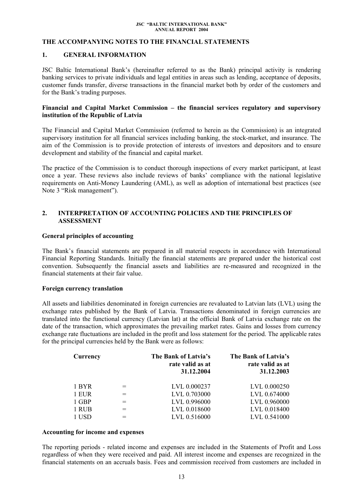## <span id="page-12-0"></span>**THE ACCOMPANYING NOTES TO THE FINANCIAL STATEMENTS**

## **1. GENERAL INFORMATION**

JSC Baltic International Bank's (hereinafter referred to as the Bank) principal activity is rendering banking services to private individuals and legal entities in areas such as lending, acceptance of deposits, customer funds transfer, diverse transactions in the financial market both by order of the customers and for the Bank's trading purposes.

## **Financial and Capital Market Commission – the financial services regulatory and supervisory institution of the Republic of Latvia**

The Financial and Capital Market Commission (referred to herein as the Commission) is an integrated supervisory institution for all financial services including banking, the stock-market, and insurance. The aim of the Commission is to provide protection of interests of investors and depositors and to ensure development and stability of the financial and capital market.

The practice of the Commission is to conduct thorough inspections of every market participant, at least once a year. These reviews also include reviews of banks' compliance with the national legislative requirements on Anti-Money Laundering (AML), as well as adoption of international best practices (see Note 3 "Risk management").

# **2. INTERPRETATION OF ACCOUNTING POLICIES AND THE PRINCIPLES OF ASSESSMENT**

### **General principles of accounting**

The Bank's financial statements are prepared in all material respects in accordance with International Financial Reporting Standards. Initially the financial statements are prepared under the historical cost convention. Subsequently the financial assets and liabilities are re-measured and recognized in the financial statements at their fair value.

### **Foreign currency translation**

All assets and liabilities denominated in foreign currencies are revaluated to Latvian lats (LVL) using the exchange rates published by the Bank of Latvia. Transactions denominated in foreign currencies are translated into the functional currency (Latvian lat) at the official Bank of Latvia exchange rate on the date of the transaction, which approximates the prevailing market rates. Gains and losses from currency exchange rate fluctuations are included in the profit and loss statement for the period. The applicable rates for the principal currencies held by the Bank were as follows:

| Currency |     | The Bank of Latvia's<br>rate valid as at<br>31.12.2004 | The Bank of Latvia's<br>rate valid as at<br>31.12.2003 |
|----------|-----|--------------------------------------------------------|--------------------------------------------------------|
| 1 BYR    | $=$ | LVL 0.000237                                           | LVL 0.000250                                           |
| 1 EUR    | $=$ | LVL 0.703000                                           | LVL 0.674000                                           |
| 1 GBP    | $=$ | LVL 0.996000                                           | LVL 0.960000                                           |
| 1 RUB    |     | LVL 0.018600                                           | LVL 0.018400                                           |
| 1 USD    |     | LVL 0.516000                                           | LVL 0.541000                                           |

### **Accounting for income and expenses**

The reporting periods - related income and expenses are included in the Statements of Profit and Loss regardless of when they were received and paid. All interest income and expenses are recognized in the financial statements on an accruals basis. Fees and commission received from customers are included in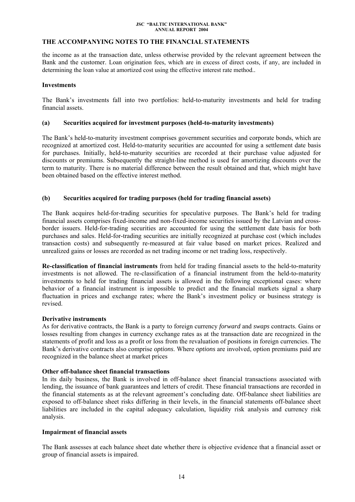# **THE ACCOMPANYING NOTES TO THE FINANCIAL STATEMENTS**

the income as at the transaction date, unless otherwise provided by the relevant agreement between the Bank and the customer. Loan origination fees, which are in excess of direct costs, if any, are included in determining the loan value at amortized cost using the effective interest rate method..

## **Investments**

The Bank's investments fall into two portfolios: held-to-maturity investments and held for trading financial assets.

## **(a) Securities acquired for investment purposes (held-to-maturity investments)**

The Bank's held-to-maturity investment comprises government securities and corporate bonds, which are recognized at amortized cost. Held-to-maturity securities are accounted for using a settlement date basis for purchases. Initially, held-to-maturity securities are recorded at their purchase value adjusted for discounts or premiums. Subsequently the straight-line method is used for amortizing discounts over the term to maturity. There is no material difference between the result obtained and that, which might have been obtained based on the effective interest method.

## **(b) Securities acquired for trading purposes (held for trading financial assets)**

The Bank acquires held-for-trading securities for speculative purposes. The Bank's held for trading financial assets comprises fixed-income and non-fixed-income securities issued by the Latvian and crossborder issuers. Held-for-trading securities are accounted for using the settlement date basis for both purchases and sales. Held-for-trading securities are initially recognized at purchase cost (which includes transaction costs) and subsequently re-measured at fair value based on market prices. Realized and unrealized gains or losses are recorded as net trading income or net trading loss, respectively.

**Re-classification of financial instruments** from held for trading financial assets to the held-to-maturity investments is not allowed. The re-classification of a financial instrument from the held-to-maturity investments to held for trading financial assets is allowed in the following exceptional cases: where behavior of a financial instrument is impossible to predict and the financial markets signal a sharp fluctuation in prices and exchange rates; where the Bank's investment policy or business strategy is revised.

## **Derivative instruments**

As for derivative contracts, the Bank is a party to foreign currency *forward* and *swaps* contracts. Gains or losses resulting from changes in currency exchange rates as at the transaction date are recognized in the statements of profit and loss as a profit or loss from the revaluation of positions in foreign currencies. The Bank's derivative contracts also comprise *options*. Where *options* are involved, option premiums paid are recognized in the balance sheet at market prices

## **Other off-balance sheet financial transactions**

In its daily business, the Bank is involved in off-balance sheet financial transactions associated with lending, the issuance of bank guarantees and letters of credit. These financial transactions are recorded in the financial statements as at the relevant agreement's concluding date. Off-balance sheet liabilities are exposed to off-balance sheet risks differing in their levels, in the financial statements off-balance sheet liabilities are included in the capital adequacy calculation, liquidity risk analysis and currency risk analysis.

## **Impairment of financial assets**

The Bank assesses at each balance sheet date whether there is objective evidence that a financial asset or group of financial assets is impaired.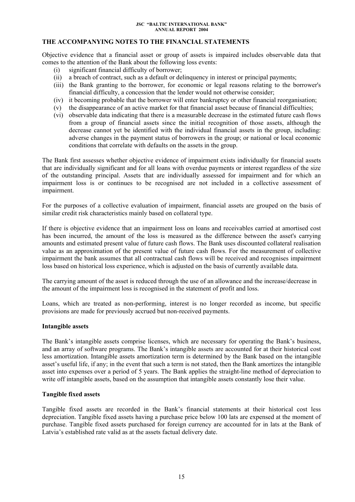# **THE ACCOMPANYING NOTES TO THE FINANCIAL STATEMENTS**

Objective evidence that a financial asset or group of assets is impaired includes observable data that comes to the attention of the Bank about the following loss events:

- (i) significant financial difficulty of borrower;
- (ii) a breach of contract, such as a default or delinquency in interest or principal payments;
- (iii) the Bank granting to the borrower, for economic or legal reasons relating to the borrower's financial difficulty, a concession that the lender would not otherwise consider;
- (iv) it becoming probable that the borrower will enter bankruptcy or other financial reorganisation;
- (v) the disappearance of an active market for that financial asset because of financial difficulties;
- (vi) observable data indicating that there is a measurable decrease in the estimated future cash flows from a group of financial assets since the initial recognition of those assets, although the decrease cannot yet be identified with the individual financial assets in the group, including: adverse changes in the payment status of borrowers in the group; or national or local economic conditions that correlate with defaults on the assets in the group.

The Bank first assesses whether objective evidence of impairment exists individually for financial assets that are individually significant and for all loans with overdue payments or interest regardless of the size of the outstanding principal. Assets that are individually assessed for impairment and for which an impairment loss is or continues to be recognised are not included in a collective assessment of impairment.

For the purposes of a collective evaluation of impairment, financial assets are grouped on the basis of similar credit risk characteristics mainly based on collateral type.

If there is objective evidence that an impairment loss on loans and receivables carried at amortised cost has been incurred, the amount of the loss is measured as the difference between the asset's carrying amounts and estimated present value of future cash flows. The Bank uses discounted collateral realisation value as an approximation of the present value of future cash flows. For the measurement of collective impairment the bank assumes that all contractual cash flows will be received and recognises impairment loss based on historical loss experience, which is adjusted on the basis of currently available data.

The carrying amount of the asset is reduced through the use of an allowance and the increase/decrease in the amount of the impairment loss is recognised in the statement of profit and loss.

Loans, which are treated as non-performing, interest is no longer recorded as income, but specific provisions are made for previously accrued but non-received payments.

### **Intangible assets**

The Bank's intangible assets comprise licenses, which are necessary for operating the Bank's business, and an array of software programs. The Bank's intangible assets are accounted for at their historical cost less amortization. Intangible assets amortization term is determined by the Bank based on the intangible asset's useful life, if any; in the event that such a term is not stated, then the Bank amortizes the intangible asset into expenses over a period of 5 years. The Bank applies the straight-line method of depreciation to write off intangible assets, based on the assumption that intangible assets constantly lose their value.

## **Tangible fixed assets**

Tangible fixed assets are recorded in the Bank's financial statements at their historical cost less depreciation. Tangible fixed assets having a purchase price below 100 lats are expensed at the moment of purchase. Tangible fixed assets purchased for foreign currency are accounted for in lats at the Bank of Latvia's established rate valid as at the assets factual delivery date.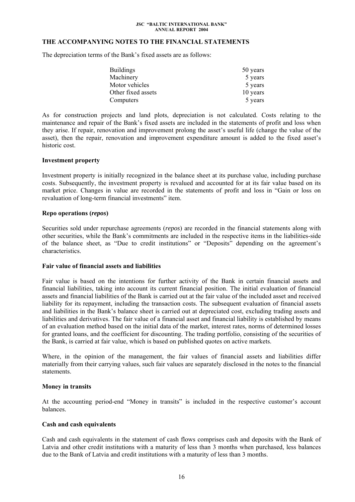## **THE ACCOMPANYING NOTES TO THE FINANCIAL STATEMENTS**

The depreciation terms of the Bank's fixed assets are as follows:

| <b>Buildings</b>   | 50 years |
|--------------------|----------|
| Machinery          | 5 years  |
| Motor vehicles     | 5 years  |
| Other fixed assets | 10 years |
| Computers          | 5 years  |

As for construction projects and land plots, depreciation is not calculated. Costs relating to the maintenance and repair of the Bank's fixed assets are included in the statements of profit and loss when they arise. If repair, renovation and improvement prolong the asset's useful life (change the value of the asset), then the repair, renovation and improvement expenditure amount is added to the fixed asset's historic cost.

## **Investment property**

Investment property is initially recognized in the balance sheet at its purchase value, including purchase costs. Subsequently, the investment property is revalued and accounted for at its fair value based on its market price. Changes in value are recorded in the statements of profit and loss in "Gain or loss on revaluation of long-term financial investments" item.

## **Repo operations (***repos***)**

Securities sold under repurchase agreements (*repos*) are recorded in the financial statements along with other securities, while the Bank's commitments are included in the respective items in the liabilities-side of the balance sheet, as "Due to credit institutions" or "Deposits" depending on the agreement's characteristics.

## **Fair value of financial assets and liabilities**

Fair value is based on the intentions for further activity of the Bank in certain financial assets and financial liabilities, taking into account its current financial position. The initial evaluation of financial assets and financial liabilities of the Bank is carried out at the fair value of the included asset and received liability for its repayment, including the transaction costs. The subsequent evaluation of financial assets and liabilities in the Bank's balance sheet is carried out at depreciated cost, excluding trading assets and liabilities and derivatives. The fair value of a financial asset and financial liability is established by means of an evaluation method based on the initial data of the market, interest rates, norms of determined losses for granted loans, and the coefficient for discounting. The trading portfolio, consisting of the securities of the Bank, is carried at fair value, which is based on published quotes on active markets.

Where, in the opinion of the management, the fair values of financial assets and liabilities differ materially from their carrying values, such fair values are separately disclosed in the notes to the financial statements.

## **Money in transits**

At the accounting period-end "Money in transits" is included in the respective customer's account balances.

## **Cash and cash equivalents**

Cash and cash equivalents in the statement of cash flows comprises cash and deposits with the Bank of Latvia and other credit institutions with a maturity of less than 3 months when purchased, less balances due to the Bank of Latvia and credit institutions with a maturity of less than 3 months.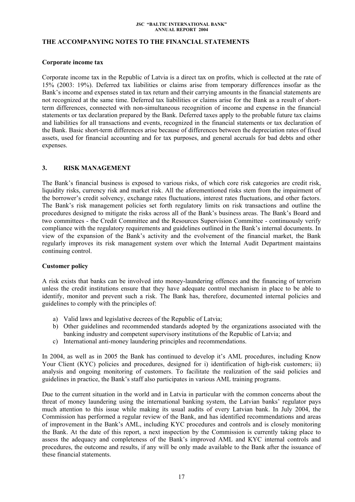## **THE ACCOMPANYING NOTES TO THE FINANCIAL STATEMENTS**

### **Corporate income tax**

Corporate income tax in the Republic of Latvia is a direct tax on profits, which is collected at the rate of 15% (2003: 19%). Deferred tax liabilities or claims arise from temporary differences insofar as the Bank's income and expenses stated in tax return and their carrying amounts in the financial statements are not recognized at the same time. Deferred tax liabilities or claims arise for the Bank as a result of shortterm differences, connected with non-simultaneous recognition of income and expense in the financial statements or tax declaration prepared by the Bank. Deferred taxes apply to the probable future tax claims and liabilities for all transactions and events, recognized in the financial statements or tax declaration of the Bank. Basic short-term differences arise because of differences between the depreciation rates of fixed assets, used for financial accounting and for tax purposes, and general accruals for bad debts and other expenses.

## **3. RISK MANAGEMENT**

The Bank's financial business is exposed to various risks, of which core risk categories are credit risk, liquidity risks, currency risk and market risk. All the aforementioned risks stem from the impairment of the borrower's credit solvency, exchange rates fluctuations, interest rates fluctuations, and other factors. The Bank's risk management policies set forth regulatory limits on risk transactions and outline the procedures designed to mitigate the risks across all of the Bank's business areas. The Bank's Board and two committees - the Credit Committee and the Resources Supervision Committee - continuously verify compliance with the regulatory requirements and guidelines outlined in the Bank's internal documents. In view of the expansion of the Bank's activity and the evolvement of the financial market, the Bank regularly improves its risk management system over which the Internal Audit Department maintains continuing control.

### **Customer policy**

A risk exists that banks can be involved into money-laundering offences and the financing of terrorism unless the credit institutions ensure that they have adequate control mechanism in place to be able to identify, monitor and prevent such a risk. The Bank has, therefore, documented internal policies and guidelines to comply with the principles of:

- a) Valid laws and legislative decrees of the Republic of Latvia;
- b) Other guidelines and recommended standards adopted by the organizations associated with the banking industry and competent supervisory institutions of the Republic of Latvia; and
- c) International anti-money laundering principles and recommendations.

In 2004, as well as in 2005 the Bank has continued to develop it's AML procedures, including Know Your Client (KYC) policies and procedures, designed for i) identification of high-risk customers; ii) analysis and ongoing monitoring of customers. To facilitate the realization of the said policies and guidelines in practice, the Bank's staff also participates in various AML training programs.

Due to the current situation in the world and in Latvia in particular with the common concerns about the threat of money laundering using the international banking system, the Latvian banks' regulator pays much attention to this issue while making its usual audits of every Latvian bank. In July 2004, the Commission has performed a regular review of the Bank, and has identified recommendations and areas of improvement in the Bank's AML, including KYC procedures and controls and is closely monitoring the Bank. At the date of this report, a next inspection by the Commission is currently taking place to assess the adequacy and completeness of the Bank's improved AML and KYC internal controls and procedures, the outcome and results, if any will be only made available to the Bank after the issuance of these financial statements.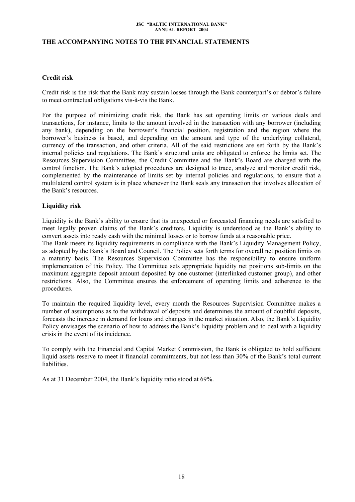## **THE ACCOMPANYING NOTES TO THE FINANCIAL STATEMENTS**

## **Credit risk**

Credit risk is the risk that the Bank may sustain losses through the Bank counterpart's or debtor's failure to meet contractual obligations vis-à-vis the Bank.

For the purpose of minimizing credit risk, the Bank has set operating limits on various deals and transactions, for instance, limits to the amount involved in the transaction with any borrower (including any bank), depending on the borrower's financial position, registration and the region where the borrower's business is based, and depending on the amount and type of the underlying collateral, currency of the transaction, and other criteria. All of the said restrictions are set forth by the Bank's internal policies and regulations. The Bank's structural units are obligated to enforce the limits set. The Resources Supervision Committee, the Credit Committee and the Bank's Board are charged with the control function. The Bank's adopted procedures are designed to trace, analyze and monitor credit risk, complemented by the maintenance of limits set by internal policies and regulations, to ensure that a multilateral control system is in place whenever the Bank seals any transaction that involves allocation of the Bank's resources.

## **Liquidity risk**

Liquidity is the Bank's ability to ensure that its unexpected or forecasted financing needs are satisfied to meet legally proven claims of the Bank's creditors. Liquidity is understood as the Bank's ability to convert assets into ready cash with the minimal losses or to borrow funds at a reasonable price.

The Bank meets its liquidity requirements in compliance with the Bank's Liquidity Management Policy, as adopted by the Bank's Board and Council. The Policy sets forth terms for overall net position limits on a maturity basis. The Resources Supervision Committee has the responsibility to ensure uniform implementation of this Policy. The Committee sets appropriate liquidity net positions sub-limits on the maximum aggregate deposit amount deposited by one customer (interlinked customer group), and other restrictions. Also, the Committee ensures the enforcement of operating limits and adherence to the procedures.

To maintain the required liquidity level, every month the Resources Supervision Committee makes a number of assumptions as to the withdrawal of deposits and determines the amount of doubtful deposits, forecasts the increase in demand for loans and changes in the market situation. Also, the Bank's Liquidity Policy envisages the scenario of how to address the Bank's liquidity problem and to deal with a liquidity crisis in the event of its incidence.

To comply with the Financial and Capital Market Commission, the Bank is obligated to hold sufficient liquid assets reserve to meet it financial commitments, but not less than 30% of the Bank's total current liabilities.

As at 31 December 2004, the Bank's liquidity ratio stood at 69%.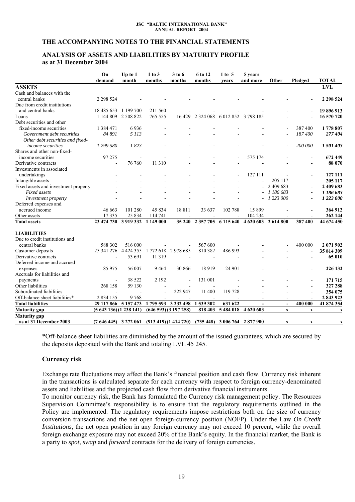## **THE ACCOMPANYING NOTES TO THE FINANCIAL STATEMENTS**

## **ANALYSIS OF ASSETS AND LIABILITIES BY MATURITY PROFILE as at 31 December 2004**

|                                      | On<br>demand             | Up to $1$<br>month | 1 to 3<br>months | 3 to 6<br>months      | 6 to 12<br>months                    | $1$ to 5<br>vears                              | 5 years<br>and more | Other                     | Pledged                  | <b>TOTAL</b>  |
|--------------------------------------|--------------------------|--------------------|------------------|-----------------------|--------------------------------------|------------------------------------------------|---------------------|---------------------------|--------------------------|---------------|
| <b>ASSETS</b>                        |                          |                    |                  |                       |                                      |                                                |                     |                           |                          | LVL           |
| Cash and balances with the           |                          |                    |                  |                       |                                      |                                                |                     |                           |                          |               |
| central banks                        | 2 2 9 5 2 4              |                    |                  |                       |                                      |                                                |                     |                           |                          | 2 2 9 5 5 2 4 |
| Due from credit institutions         |                          |                    |                  |                       |                                      |                                                |                     |                           |                          |               |
| and central banks                    | 18 485 653               | 1 199 700          | 211 560          |                       |                                      |                                                |                     |                           |                          | 19 896 913    |
| Loans                                | 1 144 809                | 2 508 822          | 765 555          |                       | 16 429 2 324 068 6 012 852 3 798 185 |                                                |                     |                           |                          | 16 570 720    |
| Debt securities and other            |                          |                    |                  |                       |                                      |                                                |                     |                           |                          |               |
| fixed-income securities              | 1 3 8 4 4 7 1            | 6936               |                  |                       |                                      |                                                |                     |                           | 387 400                  | 1778 807      |
| Government debt securities           | 84 891                   | 5 1 1 3            |                  |                       |                                      |                                                |                     |                           | 187400                   | 277 404       |
| Other debt securities and fixed-     |                          |                    |                  |                       |                                      |                                                |                     |                           |                          |               |
| <i>income securities</i>             | 1 299 580                | 1823               |                  |                       |                                      |                                                |                     |                           | 200 000                  | 1501403       |
| Shares and other non-fixed-          |                          |                    |                  |                       |                                      |                                                |                     |                           |                          |               |
| income securities                    | 97 275                   | $\overline{a}$     |                  |                       |                                      |                                                | 575 174             |                           |                          | 672 449       |
| Derivative contracts                 | $\blacksquare$           | 76 760             | 11 310           |                       |                                      |                                                |                     |                           |                          | 88 070        |
| Investments in associated            |                          |                    |                  |                       |                                      |                                                |                     |                           |                          |               |
| undertakings                         |                          |                    |                  |                       |                                      |                                                | 127 111             |                           | $\overline{\phantom{a}}$ | 127 111       |
| Intangible assets                    |                          |                    |                  |                       |                                      |                                                |                     | 205 117                   |                          | 205 117       |
| Fixed assets and investment property |                          |                    |                  |                       |                                      |                                                |                     | 2 409 683                 |                          | 2 409 683     |
| Fixed assets                         |                          |                    |                  |                       |                                      |                                                |                     | 1 186 683                 |                          | 1 186 683     |
| Investment property                  |                          |                    |                  |                       |                                      |                                                |                     | 1 223 000                 |                          | 1 223 000     |
| Deferred expenses and                |                          |                    |                  |                       |                                      |                                                |                     |                           |                          |               |
| accrued income                       | 46 663                   | 101 280            | 45 834           | 18811                 | 33 637                               | 102 788                                        | 15899               |                           |                          | 364 912       |
| Other assets                         | 17335                    | 25 834             | 114 741          |                       |                                      |                                                | 104 234             |                           |                          | 262 144       |
| <b>Total assets</b>                  | 23 474 730               | 3 9 19 3 32        | 1 149 000        | 35 240                | 2 3 5 7 7 0 5                        | 6 115 640                                      | 4 620 603           | 2 614 800                 | 387 400                  | 44 674 450    |
|                                      |                          |                    |                  |                       |                                      |                                                |                     |                           |                          |               |
| <b>LIABILITIES</b>                   |                          |                    |                  |                       |                                      |                                                |                     |                           |                          |               |
| Due to credit institutions and       |                          |                    |                  |                       |                                      |                                                |                     |                           |                          |               |
| central banks                        | 588 302                  | 516 000            |                  |                       | 567 600                              |                                                |                     |                           | 400 000                  | 2 071 902     |
| Customer deposits                    | 25 341 276               | 4 4 2 4 3 5 5      |                  | 1772 618 2978 685     | 810 382                              | 486 993                                        |                     |                           | $\blacksquare$           | 35 814 309    |
| Derivative contracts                 | $\overline{\phantom{a}}$ | 53 691             | 11 319           |                       | $\sim$                               |                                                |                     |                           | $\blacksquare$           | 65 010        |
| Deferred income and accrued          |                          |                    |                  |                       |                                      |                                                |                     |                           |                          |               |
| expenses                             | 85 975                   | 56 007             | 9464             | 30 866                | 18919                                | 24 901                                         |                     |                           |                          | 226 132       |
| Accruals for liabilities and         |                          |                    |                  |                       |                                      |                                                |                     |                           |                          |               |
| payments                             | $\overline{a}$           | 38 5 22            | 2 1 9 2          |                       | 131 001                              |                                                |                     |                           |                          | 171 715       |
| Other liabilities                    | 268 158                  | 59 130             | $\blacksquare$   |                       |                                      |                                                |                     |                           |                          | 327 288       |
| Subordinated liabilities             |                          |                    | $\overline{a}$   | 222 947               | 11 400                               | 119728                                         |                     |                           |                          | 354 075       |
| Off-balance sheet liabilities*       | 2 8 3 4 1 5 5            | 9768               |                  |                       |                                      |                                                |                     |                           |                          | 2843923       |
| <b>Total liabilities</b>             | 29 117 866               | 5 157 473          | 1795 593         | 3 232 498             | 1539302                              | 631 622                                        | $\sim$              | $\blacksquare$            | 400 000                  | 41 874 354    |
| <b>Maturity</b> gap                  | (5643136)(1238141)       |                    |                  | (646593)(3197258)     | 818 403                              | 5 484 018                                      | 4 620 603           | $\boldsymbol{\mathrm{X}}$ | $\mathbf X$              | $\mathbf x$   |
| <b>Maturity</b> gap                  |                          |                    |                  |                       |                                      |                                                |                     |                           |                          |               |
| as at 31 December 2003               | $(7646445)$ 3 272 061    |                    |                  | (913 419) (1 414 720) |                                      | $(735\,448)\quad 3\,006\,764\quad 2\,877\,900$ |                     | $\mathbf X$               | $\mathbf X$              | X             |

\*Off-balance sheet liabilities are diminished by the amount of the issued guarantees, which are secured by the deposits deposited with the Bank and totaling LVL 45 245.

### **Currency risk**

Exchange rate fluctuations may affect the Bank's financial position and cash flow. Currency risk inherent in the transactions is calculated separate for each currency with respect to foreign currency-denominated assets and liabilities and the projected cash flow from derivative financial instruments.

To monitor currency risk, the Bank has formulated the Currency risk management policy. The Resources Supervision Committee's responsibility is to ensure that the regulatory requirements outlined in the Policy are implemented. The regulatory requirements impose restrictions both on the size of currency conversion transactions and the net open foreign-currency position (NOFP). Under the Law *On Credit Institutions*, the net open position in any foreign currency may not exceed 10 percent, while the overall foreign exchange exposure may not exceed 20% of the Bank's equity. In the financial market, the Bank is a party to *spot, swap* and *forward* contracts for the delivery of foreign currencies.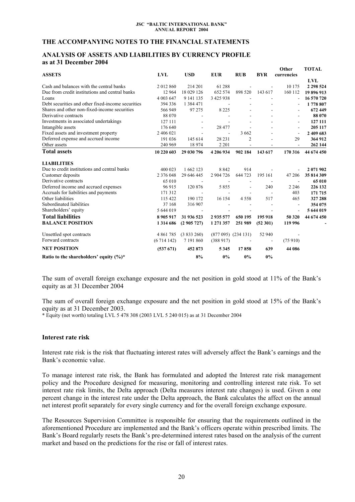## **THE ACCOMPANYING NOTES TO THE FINANCIAL STATEMENTS**

### **ANALYSIS OF ASSETS AND LIABILITIES BY CURRENCY PROFILE as at 31 December 2004**

|                                                   |               |                          |                |                          |            | Other                    | <b>TOTAL</b> |
|---------------------------------------------------|---------------|--------------------------|----------------|--------------------------|------------|--------------------------|--------------|
| <b>ASSETS</b>                                     | LVL           | <b>USD</b>               | <b>EUR</b>     | <b>RUB</b>               | <b>BYR</b> | currencies               |              |
|                                                   |               |                          |                |                          |            |                          | LVL          |
| Cash and balances with the central banks          | 2012860       | 214 201                  | 61 288         |                          |            | 10 175                   | 2 2 9 5 2 4  |
| Due from credit institutions and central banks    | 12 9 64       | 18 029 126               | 652 574        | 898 520                  | 143 617    | 160 112                  | 19896913     |
| Loans                                             | 4 003 647     | 9 141 135                | 3 425 938      |                          |            |                          | 16 570 720   |
| Debt securities and other fixed-income securities | 394 336       | 1 3 8 4 4 7 1            | $\blacksquare$ |                          |            |                          | 1778 807     |
| Shares and other non-fixed-income securities      | 566 949       | 97 275                   | 8 2 2 5        |                          |            | $\blacksquare$           | 672 449      |
| Derivative contracts                              | 88 070        |                          |                |                          |            | $\overline{\phantom{a}}$ | 88 070       |
| Investments in associated undertakings            | 127 111       |                          |                |                          |            | $\overline{\phantom{a}}$ | 127 111      |
| Intangible assets                                 | 176 640       | $\overline{\phantom{a}}$ | 28 477         |                          |            | $\overline{\phantom{a}}$ | 205 117      |
| Fixed assets and investment property              | 2 406 021     |                          |                | 3 6 6 2                  |            | $\overline{a}$           | 2 409 683    |
| Deferred expense and accrued income               | 191 036       | 145 614                  | 28 23 1        | $\overline{c}$           |            | 29                       | 364 912      |
| Other assets                                      | 240 969       | 18 974                   | 2 2 0 1        |                          |            |                          | 262 144      |
| <b>Total assets</b>                               | 10 220 603    | 29 030 796               | 4 206 934      | 902 184                  | 143 617    | 170 316                  | 44 674 450   |
| <b>LIABILITIES</b>                                |               |                          |                |                          |            |                          |              |
| Due to credit institutions and central banks      | 400 023       | 1 662 123                | 8842           | 914                      |            |                          | 2 071 902    |
| Customer deposits                                 | 2 376 048     | 29 646 445               | 2 904 726      | 644 723                  | 195 161    | 47 206                   | 35 814 309   |
| Derivative contracts                              | 65 010        |                          | $\overline{a}$ | $\overline{\phantom{a}}$ |            | $\overline{\phantom{a}}$ | 65 010       |
| Deferred income and accrued expenses              | 96 915        | 120 876                  | 5855           | $\sim$                   | 240        | 2 2 4 6                  | 226 132      |
| Accruals for liabilities and payments             | 171 312       |                          |                |                          |            | 403                      | 171 715      |
| Other liabilities                                 | 115 422       | 190 172                  | 16 154         | 4558                     | 517        | 465                      | 327 288      |
| Subordinated liabilities                          | 37 168        | 316 907                  |                |                          |            |                          | 354 075      |
| Shareholders' equity                              | 5 644 019     | $\overline{\phantom{a}}$ |                |                          |            |                          | 5 644 019    |
| <b>Total liabilities</b>                          | 8905917       | 31 936 523               | 2935577        | 650 195                  | 195 918    | 50 320                   | 44 674 450   |
| <b>BALANCE POSITION</b>                           | 1 3 1 4 6 8 6 | (2905727)                | 1 271 357      | 251 989                  | (52301)    | 119 996                  |              |
| Unsettled spot contracts                          | 4 8 61 7 85   | (3833260)                |                | $(877095)$ $(234131)$    | 52 940     |                          |              |
| Forward contracts                                 | (6714142)     | 7 191 860                | (388917)       |                          |            | (75910)                  |              |
| <b>NET POSITION</b>                               | (537671)      | 452 873                  | 5345           | 17858                    | 639        | 44 086                   |              |
| Ratio to the shareholders' equity $(\%)^*$        |               | 8%                       | 0%             | 0%                       | 0%         |                          |              |

The sum of overall foreign exchange exposure and the net position in gold stood at 11% of the Bank's equity as at 31 December 2004

The sum of overall foreign exchange exposure and the net position in gold stood at 15% of the Bank's equity as at 31 December 2003.

\* Equity (net worth) totaling LVL 5 478 308 (2003 LVL 5 240 015) as at 31 December 2004

## **Interest rate risk**

Interest rate risk is the risk that fluctuating interest rates will adversely affect the Bank's earnings and the Bank's economic value.

To manage interest rate risk, the Bank has formulated and adopted the Interest rate risk management policy and the Procedure designed for measuring, monitoring and controlling interest rate risk. To set interest rate risk limits, the Delta approach (Delta measures interest rate changes) is used. Given a one percent change in the interest rate under the Delta approach, the Bank calculates the affect on the annual net interest profit separately for every single currency and for the overall foreign exchange exposure.

The Resources Supervision Committee is responsible for ensuring that the requirements outlined in the aforementioned Procedure are implemented and the Bank's officers operate within prescribed limits. The Bank's Board regularly resets the Bank's pre-determined interest rates based on the analysis of the current market and based on the predictions for the rise or fall of interest rates.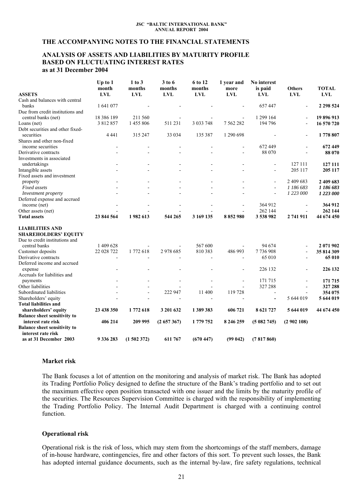### **THE ACCOMPANYING NOTES TO THE FINANCIAL STATEMENTS**

### **ANALYSIS OF ASSETS AND LIABILITIES BY MATURITY PROFILE BASED ON FLUCTUATING INTEREST RATES as at 31 December 2004**

|                                                           | Up to $1$<br>month | $1$ to $3$<br>months | 3 to 6<br>months | 6 to 12<br>months | 1 year and<br>more       | No interest<br>is paid   | <b>Others</b>  | <b>TOTAL</b> |
|-----------------------------------------------------------|--------------------|----------------------|------------------|-------------------|--------------------------|--------------------------|----------------|--------------|
| <b>ASSETS</b>                                             | <b>LVL</b>         | <b>LVL</b>           | <b>LVL</b>       | <b>LVL</b>        | <b>LVL</b>               | <b>LVL</b>               | <b>LVL</b>     | LVL          |
| Cash and balances with central                            |                    |                      |                  |                   |                          |                          |                |              |
| banks                                                     | 1 641 077          |                      |                  |                   |                          | 657447                   |                | 2 298 524    |
| Due from credit institutions and                          |                    |                      |                  |                   |                          |                          |                |              |
| central banks (net)                                       | 18 386 189         | 211 560              |                  |                   |                          | 1 299 164                |                | 19 896 913   |
| Loans (net)                                               | 3 812 857          | 1 455 806            | 511 231          | 3 0 3 7 7 4 8     | 7 5 6 2 2 8 2            | 194 796                  |                | 16 570 720   |
| Debt securities and other fixed-<br>securities            | 4 4 4 1            | 315 247              | 33 034           | 135 387           | 1 290 698                |                          |                | 1778 807     |
| Shares and other non-fixed                                |                    |                      |                  |                   |                          |                          |                |              |
| income securities                                         |                    |                      |                  |                   |                          | 672 449                  |                | 672 449      |
| Derivative contracts                                      |                    |                      |                  |                   |                          | 88 070                   |                | 88 070       |
| Investments in associated                                 |                    |                      |                  |                   |                          |                          |                |              |
| undertakings                                              |                    |                      |                  |                   |                          | $\overline{a}$           | 127 111        | 127 111      |
| Intangible assets                                         |                    |                      |                  |                   |                          | $\overline{a}$           | 205 117        | 205 117      |
| Fixed assets and investment                               |                    |                      |                  |                   |                          |                          |                |              |
|                                                           |                    |                      |                  |                   |                          | ÷.                       | 2 409 683      |              |
| property                                                  |                    |                      |                  |                   |                          |                          |                | 2 409 683    |
| Fixed assets                                              |                    |                      |                  |                   |                          | $\overline{a}$           | 1 186 683      | 1 186 683    |
| Investment property                                       |                    |                      |                  |                   |                          | ÷,                       | 1 223 000      | 1 223 000    |
| Deferred expense and accrued                              |                    |                      |                  |                   |                          |                          |                |              |
| income (net)                                              |                    |                      |                  |                   |                          | 364 912                  |                | 364 912      |
| Other assets (net)                                        |                    |                      |                  |                   |                          | 262 144                  | $\blacksquare$ | 262 144      |
| <b>Total assets</b>                                       | 23 844 564         | 1982 613             | 544 265          | 3 169 135         | 8 852 980                | 3 538 982                | 2741911        | 44 674 450   |
| <b>LIABILITIES AND</b>                                    |                    |                      |                  |                   |                          |                          |                |              |
| <b>SHAREHOLDERS' EQUITY</b>                               |                    |                      |                  |                   |                          |                          |                |              |
| Due to credit institutions and                            |                    |                      |                  |                   |                          |                          |                |              |
| central banks                                             | 1 409 628          |                      |                  | 567 600           | $\overline{\phantom{a}}$ | 94 674                   |                | 2 071 902    |
| Customer deposits                                         | 22 028 722         | 1772618              | 2978685          | 810 383           | 486 993                  | 7736908                  | $\blacksquare$ | 35 814 309   |
| Derivative contracts                                      |                    |                      |                  |                   |                          | 65 010                   | $\overline{a}$ | 65 010       |
| Deferred income and accrued<br>expense                    |                    |                      |                  |                   |                          | 226 132                  |                | 226 132      |
| Accruals for liabilities and                              |                    |                      |                  |                   |                          |                          |                |              |
| payments                                                  |                    |                      |                  |                   |                          | 171 715                  |                | 171 715      |
| Other liabilities                                         |                    |                      |                  |                   |                          | 327 288                  |                | 327 288      |
| Subordinated liabilities                                  |                    |                      | 222 947          | 11 400            | 119728                   | $\overline{\phantom{a}}$ | $\blacksquare$ | 354 075      |
| Shareholders' equity                                      |                    |                      |                  |                   |                          | $\blacksquare$           | 5 644 019      | 5 644 019    |
| <b>Total liabilities and</b>                              |                    |                      |                  |                   |                          |                          |                |              |
| shareholders' equity                                      | 23 438 350         | 1772 618             | 3 201 632        | 1389383           | 606 721                  | 8 621 727                | 5 644 019      | 44 674 450   |
| <b>Balance sheet sensitivity to</b>                       |                    |                      |                  |                   |                          |                          |                |              |
| interest rate risk                                        | 406 214            | 209 995              | (2657367)        | 1 779 752         | 8 246 259                | (5082745)                | (2902108)      |              |
| <b>Balance sheet sensitivity to</b><br>interest rate risk |                    |                      |                  |                   |                          |                          |                |              |
| as at 31 December 2003                                    | 9 336 283          | (1502372)            | 611 767          | (670447)          | (99042)                  | (7817860)                |                |              |

### **Market risk**

The Bank focuses a lot of attention on the monitoring and analysis of market risk. The Bank has adopted its Trading Portfolio Policy designed to define the structure of the Bank's trading portfolio and to set out the maximum effective open position transacted with one issuer and the limits by the maturity profile of the securities. The Resources Supervision Committee is charged with the responsibility of implementing the Trading Portfolio Policy. The Internal Audit Department is charged with a continuing control function.

### **Operational risk**

Operational risk is the risk of loss, which may stem from the shortcomings of the staff members, damage of in-house hardware, contingencies, fire and other factors of this sort. To prevent such losses, the Bank has adopted internal guidance documents, such as the internal by-law, fire safety regulations, technical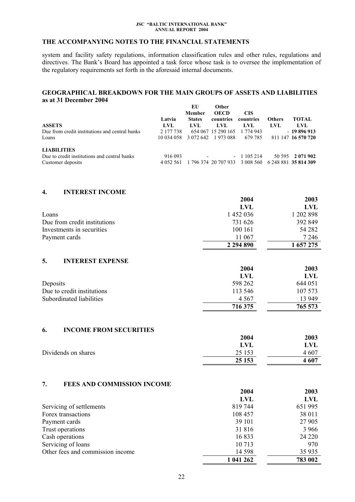# <span id="page-21-0"></span>**THE ACCOMPANYING NOTES TO THE FINANCIAL STATEMENTS**

system and facility safety regulations, information classification rules and other rules, regulations and directives. The Bank's Board has appointed a task force whose task is to oversee the implementation of the regulatory requirements set forth in the aforesaid internal documents.

#### **GEOGRAPHICAL BREAKDOWN FOR THE MAIN GROUPS OF ASSETS AND LIABILITIES as at 31 December 2004 EU Other**

|               | ЕU            | Other       |                                |                                                                       |                      |
|---------------|---------------|-------------|--------------------------------|-----------------------------------------------------------------------|----------------------|
|               | <b>Member</b> | <b>OECD</b> | <b>CIS</b>                     |                                                                       |                      |
| Latvia        | <b>States</b> | countries   |                                | <b>Others</b>                                                         | <b>TOTAL</b>         |
| LVL           | LVL.          | LVL.        | LVL                            | LVL                                                                   | LVL.                 |
| 2 177 738     |               |             | 1 774 943                      |                                                                       | $-19896913$          |
|               |               |             | 679 785                        |                                                                       | 811 147 16 570 720   |
|               |               |             |                                |                                                                       |                      |
| 916 093       |               |             |                                |                                                                       | 50 595 2 071 902     |
| 4 0 5 2 5 6 1 |               |             | 3 008 560                      |                                                                       | 6 248 881 35 814 309 |
|               |               |             | 10 034 058 3 072 642 1 973 088 | countries<br>654 067 15 290 165<br>$-1105214$<br>1 796 374 20 707 933 |                      |

## **4. INTEREST INCOME**

|                              | 2004          | 2003      |
|------------------------------|---------------|-----------|
|                              | LVL           | LVL.      |
| Loans                        | 1 452 036     | 1 202 898 |
| Due from credit institutions | 731 626       | 392 849   |
| Investments in securities    | 100 161       | 54 282    |
| Payment cards                | 11 067        | 7 2 4 6   |
|                              | 2 2 9 4 8 9 0 | 1 657 275 |

# **5. INTEREST EXPENSE**

|                            | 2004    | 2003    |
|----------------------------|---------|---------|
|                            | LVL     | LVL     |
| Deposits                   | 598 262 | 644 051 |
| Due to credit institutions | 113 546 | 107 573 |
| Subordinated liabilities   | 4 5 6 7 | 13 949  |
|                            | 716 375 | 765 573 |

## **6. INCOME FROM SECURITIES**

|                     | 2004   | 2003  |
|---------------------|--------|-------|
|                     | LVL    | LVL   |
| Dividends on shares | 25 153 | 4 607 |
|                     | 25 153 | 4 607 |

### **7. FEES AND COMMISSION INCOME**

|                                  | 2004       | 2003    |
|----------------------------------|------------|---------|
|                                  | <b>LVL</b> | LVL     |
| Servicing of settlements         | 819744     | 651 995 |
| Forex transactions               | 108 457    | 38 011  |
| Payment cards                    | 39 101     | 27 905  |
| Trust operations                 | 31 816     | 3 9 6 6 |
| Cash operations                  | 16833      | 24 2 20 |
| Servicing of loans               | 10 713     | 970     |
| Other fees and commission income | 14 5 98    | 35 9 35 |
|                                  | 1 041 262  | 783 002 |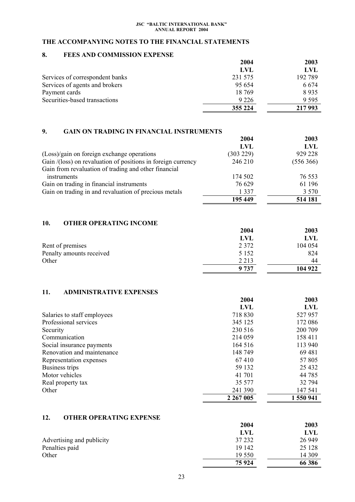# <span id="page-22-0"></span>**THE ACCOMPANYING NOTES TO THE FINANCIAL STATEMENTS**

# **8. FEES AND COMMISSION EXPENSE**

|                                 | 2004    | 2003    |
|---------------------------------|---------|---------|
|                                 | LVL     | LVL     |
| Services of correspondent banks | 231 575 | 192 789 |
| Services of agents and brokers  | 95 654  | 6 6 7 4 |
| Payment cards                   | 18 769  | 8935    |
| Securities-based transactions   | 9 2 2 6 | 9 5 9 5 |
|                                 | 355 224 | 217 993 |

# **9. GAIN ON TRADING IN FINANCIAL INSTRUMENTS**

|                                                              | 2004      | 2003      |
|--------------------------------------------------------------|-----------|-----------|
|                                                              | LVL       | LVL       |
| (Loss)/gain on foreign exchange operations                   | (303 229) | 929 228   |
| Gain /(loss) on revaluation of positions in foreign currency | 246 210   | (556 366) |
| Gain from revaluation of trading and other financial         |           |           |
| instruments                                                  | 174 502   | 76 553    |
| Gain on trading in financial instruments                     | 76 629    | 61 196    |
| Gain on trading in and revaluation of precious metals        | 1 3 3 7   | 3 5 7 0   |
|                                                              | 195 449   | 514 181   |

## **10. OTHER OPERATING INCOME**

|                          | 2004       | 2003    |
|--------------------------|------------|---------|
|                          | <b>LVL</b> | LVL     |
| Rent of premises         | 2 3 7 2    | 104 054 |
| Penalty amounts received | 5 1 5 2    | 824     |
| Other                    | 2 2 1 3    | 44      |
|                          | 9737       | 104 922 |

# **11. ADMINISTRATIVE EXPENSES**

|                             | 2004          | 2003       |
|-----------------------------|---------------|------------|
|                             | LVL           | <b>LVL</b> |
| Salaries to staff employees | 718 830       | 527957     |
| Professional services       | 345 125       | 172 086    |
| Security                    | 230 516       | 200 709    |
| Communication               | 214 059       | 158 411    |
| Social insurance payments   | 164 516       | 113 940    |
| Renovation and maintenance  | 148 749       | 69 481     |
| Representation expenses     | 67410         | 57 805     |
| Business trips              | 59 132        | 25 4 32    |
| Motor vehicles              | 41 701        | 44 785     |
| Real property tax           | 35 577        | 32 794     |
| Other                       | 241 390       | 147 541    |
|                             | 2 2 6 7 0 0 5 | 1 550 941  |

# **12. OTHER OPERATING EXPENSE**

|                           | 2004    | 2003    |
|---------------------------|---------|---------|
|                           | LVL     | LVL     |
| Advertising and publicity | 37 232  | 26 949  |
| Penalties paid            | 19 142  | 25 1 28 |
| Other                     | 19 550  | 14 309  |
|                           | 75 9 24 | 66 386  |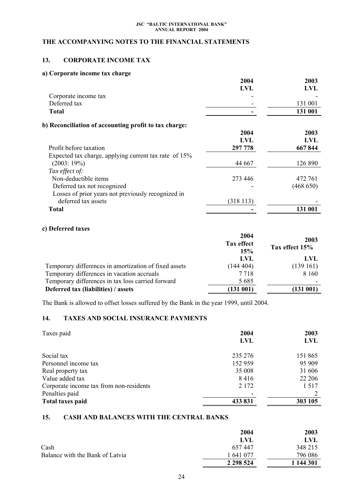# <span id="page-23-0"></span>**THE ACCOMPANYING NOTES TO THE FINANCIAL STATEMENTS**

# **13. CORPORATE INCOME TAX**

# **a) Corporate income tax charge**

|                                                       | 2004     | 2003       |
|-------------------------------------------------------|----------|------------|
|                                                       | LVL      | LVL        |
| Corporate income tax                                  |          |            |
| Deferred tax                                          |          | 131 001    |
| <b>Total</b>                                          |          | 131 001    |
| b) Reconciliation of accounting profit to tax charge: |          |            |
|                                                       | 2004     | 2003       |
|                                                       | LVL      | <b>LVL</b> |
| Profit before taxation                                | 297 778  | 667844     |
| Expected tax charge, applying current tax rate of 15% |          |            |
| (2003:19%)                                            | 44 667   | 126 890    |
| Tax effect of:                                        |          |            |
| Non-deductible items                                  | 273 446  | 472 761    |
| Deferred tax not recognized                           |          | (468 650)  |
| Losses of prior years not previously recognized in    |          |            |
| deferred tax assets                                   | (318113) |            |
| Total                                                 |          | 131 001    |

# **c) Deferred taxes**

| 2004<br>Tax effect<br>15% | 2003<br>Tax effect 15% |
|---------------------------|------------------------|
| LVL                       | LVL                    |
| (144404)                  | (139161)               |
| 7 7 1 8                   | 8 1 6 0                |
| 5 6 8 5                   |                        |
| (131 001)                 | (131001)               |
|                           |                        |

The Bank is allowed to offset losses suffered by the Bank in the year 1999, until 2004.

# **14. TAXES AND SOCIAL INSURANCE PAYMENTS**

| Taxes paid                              | 2004<br><b>LVL</b> | 2003<br><b>LVL</b> |
|-----------------------------------------|--------------------|--------------------|
| Social tax                              | 235 276            | 151 865            |
| Personnel income tax                    | 152 959            | 95 909             |
| Real property tax                       | 35 008             | 31 606             |
| Value added tax                         | 8416               | 22 20 6            |
| Corporate income tax from non-residents | 2 1 7 2            | 1 5 1 7            |
| Penalties paid                          |                    |                    |
| Total taxes paid                        | 433 831            | 303 105            |

# **15. CASH AND BALANCES WITH THE CENTRAL BANKS**

|                                 | 2004          | 2003      |
|---------------------------------|---------------|-----------|
|                                 | LVL           | LVL       |
| Cash                            | 657447        | 348 215   |
| Balance with the Bank of Latvia | 1 641 077     | 796 086   |
|                                 | 2 2 9 5 5 2 4 | 1 144 301 |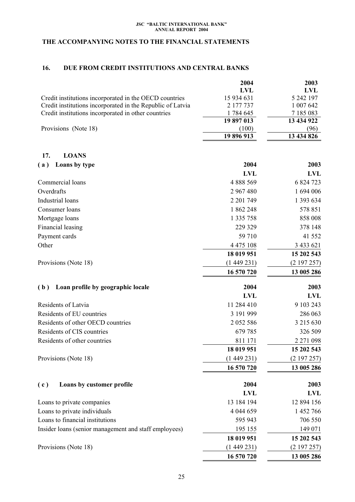# <span id="page-24-0"></span>**THE ACCOMPANYING NOTES TO THE FINANCIAL STATEMENTS**

## **16. DUE FROM CREDIT INSTITUTIONS AND CENTRAL BANKS**

|                                                            | 2004       | 2003       |
|------------------------------------------------------------|------------|------------|
|                                                            | LVL        | LVL        |
| Credit institutions incorporated in the OECD countries     | 15 934 631 | 5 242 197  |
| Credit institutions incorporated in the Republic of Latvia | 2 177 737  | 1 007 642  |
| Credit institutions incorporated in other countries        | 1784 645   | 7 185 083  |
|                                                            | 19 897 013 | 13 434 922 |
| Provisions (Note 18)                                       | (100)      | (96)       |
|                                                            | 19 896 913 | 13 434 826 |

| 17.<br><b>LOANS</b>                                   |               |            |
|-------------------------------------------------------|---------------|------------|
| Loans by type<br>(a)                                  | 2004          | 2003       |
|                                                       | <b>LVL</b>    | <b>LVL</b> |
| Commercial loans                                      | 4 888 569     | 6 824 723  |
| Overdrafts                                            | 2 967 480     | 1 694 006  |
| Industrial loans                                      | 2 201 749     | 1 393 634  |
| Consumer loans                                        | 1862248       | 578 851    |
| Mortgage loans                                        | 1 335 758     | 858 008    |
| Financial leasing                                     | 229 329       | 378 148    |
| Payment cards                                         | 59 710        | 41 552     |
| Other                                                 | 4 4 7 5 1 0 8 | 3 433 621  |
|                                                       | 18 019 951    | 15 202 543 |
| Provisions (Note 18)                                  | (1449231)     | (2197257)  |
|                                                       | 16 570 720    | 13 005 286 |
| Loan profile by geographic locale<br>(b)              | 2004          | 2003       |
|                                                       | <b>LVL</b>    | <b>LVL</b> |
| Residents of Latvia                                   | 11 284 410    | 9 103 243  |
| Residents of EU countries                             | 3 191 999     | 286 063    |
| Residents of other OECD countries                     | 2 0 5 2 5 8 6 | 3 215 630  |
| Residents of CIS countries                            | 679 785       | 326 509    |
| Residents of other countries                          | 811 171       | 2 271 098  |
|                                                       | 18 019 951    | 15 202 543 |
| Provisions (Note 18)                                  | (1449231)     | (2197257)  |
|                                                       | 16 570 720    | 13 005 286 |
| (c)<br>Loans by customer profile                      | 2004          | 2003       |
|                                                       | <b>LVL</b>    | <b>LVL</b> |
| Loans to private companies                            | 13 184 194    | 12 894 156 |
| Loans to private individuals                          | 4 044 659     | 1 452 766  |
| Loans to financial institutions                       | 595 943       | 706 550    |
| Insider loans (senior management and staff employees) | 195 155       | 149 071    |
|                                                       | 18 019 951    | 15 202 543 |
| Provisions (Note 18)                                  | (1449231)     | (2197257)  |
|                                                       | 16 570 720    | 13 005 286 |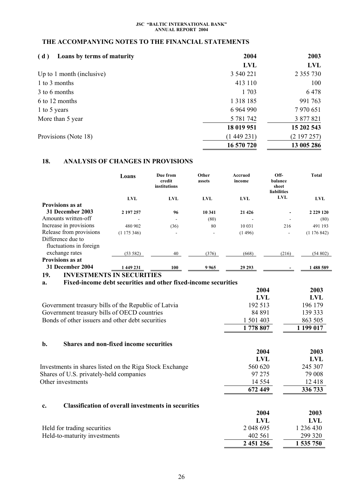# <span id="page-25-0"></span>**THE ACCOMPANYING NOTES TO THE FINANCIAL STATEMENTS**

| Loans by terms of maturity<br>(d) | 2004          | 2003          |
|-----------------------------------|---------------|---------------|
|                                   | <b>LVL</b>    | <b>LVL</b>    |
| Up to 1 month (inclusive)         | 3 540 221     | 2 3 5 5 7 3 0 |
| 1 to 3 months                     | 413 110       | 100           |
| 3 to 6 months                     | 1 703         | 6478          |
| 6 to 12 months                    | 1 3 1 8 1 8 5 | 991 763       |
| 1 to 5 years                      | 6 9 64 9 90   | 7 970 651     |
| More than 5 year                  | 5 781 742     | 3 877 821     |
|                                   | 18 019 951    | 15 202 543    |
| Provisions (Note 18)              | (1449231)     | (2197257)     |
|                                   | 16 570 720    | 13 005 286    |

# **18. ANALYSIS OF CHANGES IN PROVISIONS**

|                           | Loans         | Due from<br>credit<br>institutions | Other<br>assets          | Accrued<br>income | Off-<br>balance<br>sheet<br><b>liabilities</b> | <b>Total</b>  |
|---------------------------|---------------|------------------------------------|--------------------------|-------------------|------------------------------------------------|---------------|
|                           | <b>LVL</b>    | <b>LVL</b>                         | <b>LVL</b>               | <b>LVL</b>        | <b>LVL</b>                                     | <b>LVL</b>    |
| Provisions as at          |               |                                    |                          |                   |                                                |               |
| 31 December 2003          | 2 197 257     | 96                                 | 10 341                   | 21 4 26           | $\blacksquare$                                 | 2 2 2 9 1 2 0 |
| Amounts written-off       |               | ۰                                  | (80)                     |                   | ٠                                              | (80)          |
| Increase in provisions    | 480 902       | (36)                               | 80                       | 10 03 1           | 216                                            | 491 193       |
| Release from provisions   | (1175346)     | ۰                                  | $\overline{\phantom{a}}$ | (1496)            | -                                              | (1176842)     |
| Difference due to         |               |                                    |                          |                   |                                                |               |
| fluctuations in foreign   |               |                                    |                          |                   |                                                |               |
| exchange rates            | (53 582)      | 40                                 | (376)                    | (668)             | (216)                                          | (54802)       |
| <b>Provisions as at</b>   |               |                                    |                          |                   |                                                |               |
| 31 December 2004          | 1 449 231     | 100                                | 9965                     | 29 29 3           |                                                | 1488589       |
| <b>INVECTMENTS</b><br>10. | IN CECIDITIES |                                    |                          |                   |                                                |               |

### **19. INVESTMENTS IN SECURITIES**

| Fixed-income debt securities and other fixed-income securities<br>a. |            |            |
|----------------------------------------------------------------------|------------|------------|
|                                                                      | 2004       | 2003       |
|                                                                      | <b>LVL</b> | LVL        |
| Government treasury bills of the Republic of Latvia                  | 192 513    | 196 179    |
| Government treasury bills of OECD countries                          | 84 891     | 139 333    |
| Bonds of other issuers and other debt securities                     | 1 501 403  | 863 505    |
|                                                                      | 1778 807   | 1 199 017  |
| b.<br><b>Shares and non-fixed income securities</b>                  |            |            |
|                                                                      | 2004       | 2003       |
|                                                                      | LVL        | <b>LVL</b> |
| Investments in shares listed on the Riga Stock Exchange              | 560 620    | 245 307    |
| Shares of U.S. privately-held companies                              | 97 275     | 79 008     |
| Other investments                                                    | 14 5 5 4   | 12418      |
|                                                                      | 672 449    | 336 733    |
| <b>Classification of overall investments in securities</b><br>c.     |            |            |
|                                                                      | 2004       | 2003       |
|                                                                      | LVL        | <b>LVL</b> |
| Held for trading securities                                          | 2 048 695  | 1 236 430  |
| Held-to-maturity investments                                         | 402 561    | 299 320    |
|                                                                      | 2 451 256  | 1 535 750  |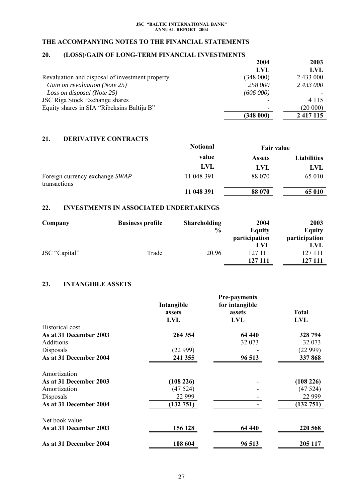# <span id="page-26-0"></span>**THE ACCOMPANYING NOTES TO THE FINANCIAL STATEMENTS**

# **20. (LOSS)/GAIN OF LONG-TERM FINANCIAL INVESTMENTS**

|                                                 | 2004      | 2003          |
|-------------------------------------------------|-----------|---------------|
|                                                 | LVL       | LVL           |
| Revaluation and disposal of investment property | (348000)  | 2 433 000     |
| Gain on revaluation (Note 25)                   | 258 000   | 2 433 000     |
| Loss on disposal (Note 25)                      | (606 000) |               |
| <b>JSC Riga Stock Exchange shares</b>           |           | 4 1 1 5       |
| Equity shares in SIA "Ribeksins Baltija B"      |           | (20000)       |
|                                                 | (348000)  | 2 4 1 7 1 1 5 |

## **21. DERIVATIVE CONTRACTS**

|                                                | <b>Notional</b> | <b>Fair value</b> |                    |
|------------------------------------------------|-----------------|-------------------|--------------------|
|                                                | value           | <b>Assets</b>     | <b>Liabilities</b> |
|                                                | LVL             | <b>LVL</b>        | LVL                |
| Foreign currency exchange SWAP<br>transactions | 11 048 391      | 88 070            | 65 010             |
|                                                | 11 048 391      | 88 070            | 65 010             |

# **22. INVESTMENTS IN ASSOCIATED UNDERTAKINGS**

| Company       | <b>Business profile</b> | <b>Shareholding</b> | 2004          | 2003          |
|---------------|-------------------------|---------------------|---------------|---------------|
|               |                         | $\frac{6}{9}$       | <b>Equity</b> | Equity        |
|               |                         |                     | participation | participation |
|               |                         |                     | LVL           | LVL           |
| JSC "Capital" | Trade                   | 20.96               | 127 111       | 127 111       |
|               |                         |                     | 127 111       | 127 111       |

# **23. INTANGIBLE ASSETS**

|                        | Intangible | for intangible |              |
|------------------------|------------|----------------|--------------|
|                        | assets     | assets         | <b>Total</b> |
|                        | <b>LVL</b> | LVL            | <b>LVL</b>   |
| Historical cost        |            |                |              |
| As at 31 December 2003 | 264 354    | 64 440         | 328 794      |
| Additions              |            | 32 073         | 32 073       |
| Disposals              | (22 999)   |                | (22999)      |
| As at 31 December 2004 | 241 355    | 96 513         | 337868       |
| Amortization           |            |                |              |
| As at 31 December 2003 | (108 226)  |                | (108 226)    |
| Amortization           | (47524)    |                | (47524)      |
| Disposals              | 22 9 9 9   |                | 22 9 9 9     |
| As at 31 December 2004 | (132 751)  |                | (132 751)    |
| Net book value         |            |                |              |
| As at 31 December 2003 | 156 128    | 64 440         | 220 568      |
| As at 31 December 2004 | 108 604    | 96 513         | 205 117      |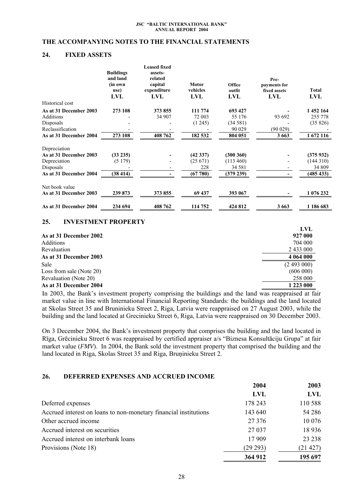### <span id="page-27-0"></span>**THE ACCOMPANYING NOTES TO THE FINANCIAL STATEMENTS**

## **24. FIXED ASSETS**

|                        | <b>Buildings</b><br>and land<br>(in own<br>use)<br>LVL | <b>Leased fixed</b><br>assets-<br>related<br>capital<br>expenditure<br>LVL | Motor<br>vehicles<br>LVL | Office<br>outfit<br>LVL | Pre-<br>payments for<br>fixed assets<br>LVL | <b>Total</b><br>LVL |
|------------------------|--------------------------------------------------------|----------------------------------------------------------------------------|--------------------------|-------------------------|---------------------------------------------|---------------------|
| Historical cost        |                                                        |                                                                            |                          |                         |                                             |                     |
| As at 31 December 2003 | 273 108                                                | 373 855                                                                    | 111 774                  | 693 427                 |                                             | 1 452 164           |
| <b>Additions</b>       |                                                        | 34 907                                                                     | 72 003                   | 55 176                  | 93 692                                      | 255 778             |
| Disposals              |                                                        |                                                                            | (1245)                   | (34581)                 |                                             | (35826)             |
| Reclassification       |                                                        |                                                                            |                          | 90 0 29                 | (90029)                                     |                     |
| As at 31 December 2004 | 273 108                                                | 408 762                                                                    | 182 532                  | 804 051                 | 3 6 6 3                                     | 1 672 116           |
| Depreciation           |                                                        |                                                                            |                          |                         |                                             |                     |
| As at 31 December 2003 | (33 235)                                               |                                                                            | (42337)                  | (300360)                |                                             | (375932)            |
| Depreciation           | (5179)                                                 |                                                                            | (25.671)                 | (113 460)               |                                             | (144310)            |
| Disposals              |                                                        |                                                                            | 228                      | 34 581                  |                                             | 34 809              |
| As at 31 December 2004 | (38414)                                                |                                                                            | (67780)                  | (379 239)               |                                             | (485 433)           |
| Net book value         |                                                        |                                                                            |                          |                         |                                             |                     |
| As at 31 December 2003 | 239 873                                                | 373 855                                                                    | 69 437                   | 393 067                 |                                             | 1 076 232           |
| As at 31 December 2004 | 234 694                                                | 408 762                                                                    | 114 752                  | 424 812                 | 3 6 6 3                                     | 1 186 683           |

# **25. INVESTMENT PROPERTY**

|                          | LVL       |
|--------------------------|-----------|
| As at 31 December 2002   | 927 000   |
| <b>Additions</b>         | 704 000   |
| Revaluation              | 2 433 000 |
| As at 31 December 2003   | 4 064 000 |
| Sale                     | (2493000) |
| Loss from sale (Note 20) | (606000)  |
| Revaluation (Note 20)    | 258 000   |
| As at 31 December 2004   | 1 223 000 |

In 2003, the Bank's investment property comprising the buildings and the land was reappraised at fair market value in line with International Financial Reporting Standards: the buildings and the land located at Skolas Street 35 and Bruninieku Street 2, Riga, Latvia were reappraised on 27 August 2003, while the building and the land located at Grecinieku Street 6, Riga, Latvia were reappraised on 30 December 2003.

On 3 December 2004, the Bank's investment property that comprises the building and the land located in Rīga, Grēcinieku Street 6 was reappraised by certified appraiser a/s "Biznesa Konsultāciju Grupa" at fair market value (*FMV*). In 2004, the Bank sold the investment property that comprised the building and the land located in Riga, Skolas Street 35 and Riga, Bruņinieku Street 2.

# **26. DEFERRED EXPENSES AND ACCRUED INCOME**

|                                                                  | 2004       | 2003       |
|------------------------------------------------------------------|------------|------------|
|                                                                  | <b>LVL</b> | <b>LVL</b> |
| Deferred expenses                                                | 178 243    | 110 588    |
| Accrued interest on loans to non-monetary financial institutions | 143 640    | 54 28 6    |
| Other accrued income                                             | 27 37 6    | 10 0 76    |
| Accrued interest on securities                                   | 27 0 37    | 18 9 36    |
| Accrued interest on interbank loans                              | 17 909     | 23 23 8    |
| Provisions (Note 18)                                             | (29 293)   | (21 427)   |
|                                                                  | 364 912    | 195 697    |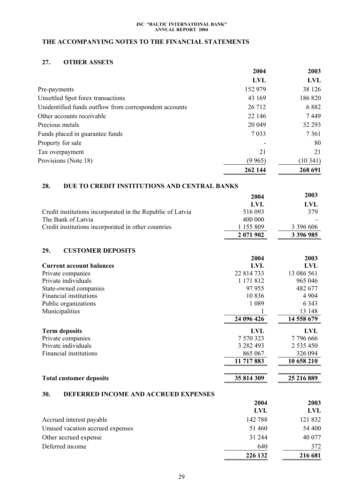# <span id="page-28-0"></span>**THE ACCOMPANYING NOTES TO THE FINANCIAL STATEMENTS**

# **27. OTHER ASSETS**

|                                                        | 2004       | 2003    |
|--------------------------------------------------------|------------|---------|
|                                                        | <b>LVL</b> | LVL     |
| Pre-payments                                           | 152 979    | 38 1 26 |
| Unsettled Spot forex transactions                      | 43 169     | 186 820 |
| Unidentified funds outflow from correspondent accounts | 26 712     | 6882    |
| Other accounts receivable                              | 22 14 6    | 7449    |
| Precious metals                                        | 20 049     | 32 29 3 |
| Funds placed in guarantee funds                        | 7 0 3 3    | 7 3 6 1 |
| Property for sale                                      |            | 80      |
| Tax overpayment                                        | 21         | 21      |
| Provisions (Note 18)                                   | (9965)     | (10341) |
|                                                        | 262 144    | 268 691 |

# **28. DUE TO CREDIT INSTITUTIONS AND CENTRAL BANKS**

|                                                            | 2004      | 2003          |  |
|------------------------------------------------------------|-----------|---------------|--|
|                                                            | LVL       | LVL           |  |
| Credit institutions incorporated in the Republic of Latvia | 516 093   | 379           |  |
| The Bank of Latvia                                         | 400 000   |               |  |
| Credit institutions incorporated in other countries        | 1 155 809 | 3 3 9 6 6 0 6 |  |
|                                                            | 2 071 902 | 3 396 985     |  |

# **29. CUSTOMER DEPOSITS**

|                                 | 2004       | 2003          |
|---------------------------------|------------|---------------|
| <b>Current account balances</b> | <b>LVL</b> | <b>LVL</b>    |
| Private companies               | 22 814 733 | 13 086 561    |
| Private individuals             | 1 171 812  | 965 046       |
| State-owned companies           | 97955      | 482 677       |
| Financial institutions          | 10836      | 4 9 0 4       |
| Public organizations            | 1 0 8 9    | 6 3 4 3       |
| Municipalities                  |            | 13 148        |
|                                 | 24 096 426 | 14 558 679    |
| <b>Term deposits</b>            | LVL        | <b>LVL</b>    |
| Private companies               | 7 570 323  | 7796666       |
| Private individuals             | 3 282 493  | 2 5 3 5 4 5 0 |
| Financial institutions          | 865 067    | 326 094       |
|                                 | 11 717 883 | 10 658 210    |
|                                 |            |               |
| <b>Total customer deposits</b>  | 35 814 309 | 25 216 889    |

## **30. DEFERRED INCOME AND ACCRUED EXPENSES**

|                                  | 2004    | 2003       |
|----------------------------------|---------|------------|
|                                  | LVL     | <b>LVL</b> |
| Accrued interest payable         | 142 788 | 121 832    |
| Unused vacation accrued expenses | 51 460  | 54 400     |
| Other accrued expense            | 31 244  | 40 077     |
| Deferred income                  | 640     | 372        |
|                                  | 226 132 | 216 681    |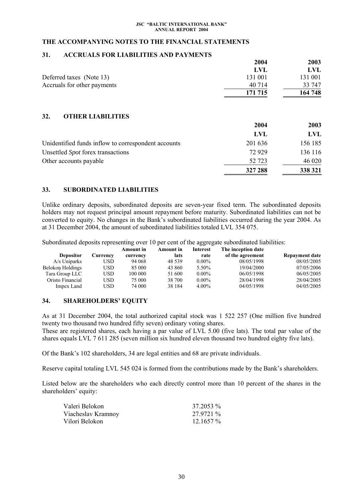## <span id="page-29-0"></span>**THE ACCOMPANYING NOTES TO THE FINANCIAL STATEMENTS**

## **31. ACCRUALS FOR LIABILITIES AND PAYMENTS**

|                                 | 2004               | 2003        |
|---------------------------------|--------------------|-------------|
|                                 | <b>LVL</b>         | <b>LVL</b>  |
| Deferred taxes (Note 13)        | 131 001            | 131 001     |
| Accruals for other payments     | 40 714             | 33 747      |
|                                 | 171 715            | 164 748     |
| 32.<br><b>OTHER LIABILITIES</b> | 2004<br><b>LVL</b> | 2003<br>LVL |
|                                 |                    |             |

| Unidentified funds inflow to correspondent accounts | 201 636 | 156 185 |
|-----------------------------------------------------|---------|---------|
| Unsettled Spot forex transactions                   | 72.929  | 136 116 |
| Other accounts payable                              | 52 723  | 46 020  |
|                                                     | 327 288 | 338 321 |

## **33. SUBORDINATED LIABILITIES**

Unlike ordinary deposits, subordinated deposits are seven-year fixed term. The subordinated deposits holders may not request principal amount repayment before maturity. Subordinated liabilities can not be converted to equity. No changes in the Bank's subordinated liabilities occurred during the year 2004. As at 31 December 2004, the amount of subordinated liabilities totaled LVL 354 075.

Subordinated deposits representing over 10 per cent of the aggregate subordinated liabilities:

|                  |          | <b>Amount in</b> | <b>Amount in</b> | <b>Interest</b> | The inception date |                       |
|------------------|----------|------------------|------------------|-----------------|--------------------|-----------------------|
| <b>Depositor</b> | Currencv | currency         | lats             | rate            | of the agreement   | <b>Repayment date</b> |
| A/s Uniparks     | USD      | 94 068           | 48.539           | $0.00\%$        | 08/05/1998         | 08/05/2005            |
| Belokon Holdings | USD      | 85 000           | 43 860           | 5.50%           | 19/04/2000         | 07/05/2006            |
| Tara Group LLC   | USD      | 100 000          | 51 600           | $0.00\%$        | 06/05/1998         | 06/05/2005            |
| Oristo Financial | USD      | 75 000           | 38 700           | $0.00\%$        | 28/04/1998         | 28/04/2005            |
| Impex Land       | USD      | 74 000           | 38 184           | $4.00\%$        | 04/05/1998         | 04/05/2005            |

## **34. SHAREHOLDERS' EQUITY**

As at 31 December 2004, the total authorized capital stock was 1 522 257 (One million five hundred twenty two thousand two hundred fifty seven) ordinary voting shares.

These are registered shares, each having a par value of LVL 5.00 (five lats). The total par value of the shares equals LVL 7 611 285 (seven million six hundred eleven thousand two hundred eighty five lats).

Of the Bank's 102 shareholders, 34 are legal entities and 68 are private individuals.

Reserve capital totaling LVL 545 024 is formed from the contributions made by the Bank's shareholders.

Listed below are the shareholders who each directly control more than 10 percent of the shares in the shareholders' equity:

| Valeri Belokon     | 37.2053 %   |
|--------------------|-------------|
| Viacheslav Kramnoy | 27.9721 %   |
| Vilori Belokon     | $12.1657\%$ |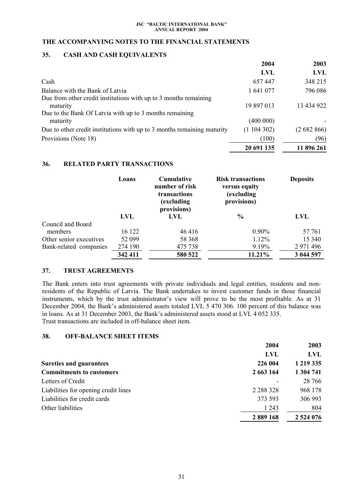## <span id="page-30-0"></span>**THE ACCOMPANYING NOTES TO THE FINANCIAL STATEMENTS**

# **35. CASH AND CASH EQUIVALENTS**

|                                                                              | 2004       | 2003       |
|------------------------------------------------------------------------------|------------|------------|
|                                                                              | <b>LVL</b> | <b>LVL</b> |
| Cash                                                                         | 657447     | 348 215    |
| Balance with the Bank of Latvia                                              | 1 641 077  | 796 086    |
| Due from other credit institutions with up to 3 months remaining<br>maturity | 19 897 013 | 13 434 922 |
| Due to the Bank Of Latvia with up to 3 months remaining<br>maturity          | (400 000)  |            |
| Due to other credit institutions with up to 3 months remaining maturity      | (1104302)  | (2682866)  |
| Provisions (Note 18)                                                         | (100)      | (96)       |
|                                                                              | 20 691 135 | 11 896 261 |

## **36. RELATED PARTY TRANSACTIONS**

|                         | Loans      | <b>Cumulative</b><br>number of risk<br>transactions<br>(excluding)<br>provisions) | <b>Risk transactions</b><br>versus equity<br><i>(excluding)</i><br>provisions) | <b>Deposits</b> |
|-------------------------|------------|-----------------------------------------------------------------------------------|--------------------------------------------------------------------------------|-----------------|
|                         | <b>LVL</b> | LVL                                                                               | $\frac{6}{9}$                                                                  | LVL             |
| Council and Board       |            |                                                                                   |                                                                                |                 |
| members                 | 16 122     | 46416                                                                             | $0.90\%$                                                                       | 57 761          |
| Other senior executives | 52 099     | 58 368                                                                            | 1.12%                                                                          | 15 340          |
| Bank-related companies  | 274 190    | 475 738                                                                           | 9.19%                                                                          | 2 971 496       |
|                         | 342 411    | 580 522                                                                           | 11.21%                                                                         | 3 044 597       |

# **37. TRUST AGREEMENTS**

The Bank enters into trust agreements with private individuals and legal entities, residents and nonresidents of the Republic of Latvia. The Bank undertakes to invest customer funds in those financial instruments, which by the trust administrator's view will prove to be the most profitable. As at 31 December 2004, the Bank's administered assets totaled LVL 5 470 306. 100 percent of this balance was in loans. As at 31 December 2003, the Bank's administered assets stood at LVL 4 052 335. Trust transactions are included in off-balance sheet item.

## **38. OFF-BALANCE SHEET ITEMS**

|                                      | 2004          | 2003        |
|--------------------------------------|---------------|-------------|
|                                      | <b>LVL</b>    | LVL         |
| <b>Sureties and guarantees</b>       | 226 004       | 1 219 335   |
| <b>Commitments to customers</b>      | 2 663 164     | 1 304 741   |
| Letters of Credit                    |               | 28 76 6     |
| Liabilities for opening credit lines | 2 2 8 3 3 2 8 | 968 178     |
| Liabilities for credit cards         | 373 593       | 306 993     |
| Other liabilities                    | 1 2 4 3       | 804         |
|                                      | 2 889 168     | 2 5 24 0 76 |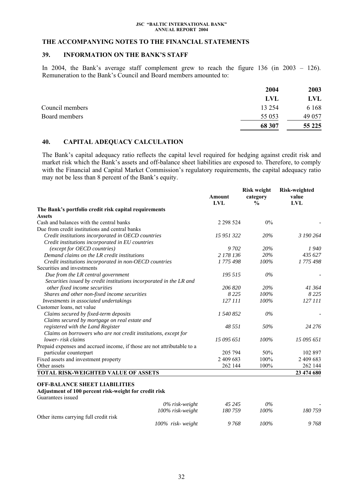### **THE ACCOMPANYING NOTES TO THE FINANCIAL STATEMENTS**

## **39. INFORMATION ON THE BANK'S STAFF**

In 2004, the Bank's average staff complement grew to reach the figure 136 (in 2003 – 126). Remuneration to the Bank's Council and Board members amounted to:

| 2004     | 2003    |
|----------|---------|
| LVL      | LVL     |
| 13 2 5 4 | 6 1 6 8 |
| 55 053   | 49 0 57 |
| 68 307   | 55 2 25 |
|          |         |

# **40. CAPITAL ADEQUACY CALCULATION**

The Bank's capital adequacy ratio reflects the capital level required for hedging against credit risk and market risk which the Bank's assets and off-balance sheet liabilities are exposed to. Therefore, to comply with the Financial and Capital Market Commission's regulatory requirements, the capital adequacy ratio may not be less than 8 percent of the Bank's equity.

|                                                                                                                    | <b>Amount</b><br><b>LVL</b> | <b>Risk weight</b><br>category<br>$\frac{0}{0}$ | <b>Risk-weighted</b><br>value<br><b>LVL</b> |
|--------------------------------------------------------------------------------------------------------------------|-----------------------------|-------------------------------------------------|---------------------------------------------|
| The Bank's portfolio credit risk capital requirements                                                              |                             |                                                 |                                             |
| <b>Assets</b>                                                                                                      |                             |                                                 |                                             |
| Cash and balances with the central banks                                                                           | 2 2 9 5 2 4                 | 0%                                              |                                             |
| Due from credit institutions and central banks                                                                     |                             |                                                 |                                             |
| Credit institutions incorporated in OECD countries                                                                 | 15 951 322                  | 20%                                             | 3 190 264                                   |
| Credit institutions incorporated in EU countries                                                                   |                             |                                                 |                                             |
| (except for OECD countries)                                                                                        | 9 702                       | 20%                                             | 1940                                        |
| Demand claims on the LR credit institutions                                                                        | 2 178 136                   | 20%                                             | 435 627                                     |
| Credit institutions incorporated in non-OECD countries                                                             | 1775498                     | 100%                                            | 1775498                                     |
| Securities and investments                                                                                         |                             |                                                 |                                             |
| Due from the LR central government                                                                                 | 195 515                     | $0\%$                                           |                                             |
| Securities issued by credit institutions incorporated in the LR and                                                |                             |                                                 |                                             |
| other fixed income securities                                                                                      | 206 820                     | 20%                                             | 41 364                                      |
| Shares and other non-fixed income securities                                                                       | 8 2 2 5                     | 100%                                            | 8 2 2 5                                     |
| Investments in associated undertakings                                                                             | 127 111                     | 100%                                            | 127 111                                     |
| Customer loans, net value                                                                                          |                             |                                                 |                                             |
| Claims secured by fixed-term deposits                                                                              | 1 540 852                   | $0\%$                                           |                                             |
| Claims secured by mortgage on real estate and                                                                      |                             |                                                 |                                             |
| registered with the Land Register                                                                                  | 48 551                      | 50%                                             | 24 2 7 6                                    |
| Claims on borrowers who are not credit institutions, except for                                                    |                             |                                                 |                                             |
| lower- risk claims                                                                                                 | 15 095 651                  | 100%                                            | 15 095 651                                  |
| Prepaid expenses and accrued income, if those are not attributable to a                                            |                             |                                                 |                                             |
| particular counterpart                                                                                             | 205 794                     | 50%                                             | 102 897                                     |
| Fixed assets and investment property                                                                               | 2 409 683                   | 100%                                            | 2 409 683                                   |
| Other assets                                                                                                       | 262 144                     | 100%                                            | 262 144                                     |
| TOTAL RISK-WEIGHTED VALUE OF ASSETS                                                                                |                             |                                                 | 23 474 680                                  |
| <b>OFF-BALANCE SHEET LIABILITIES</b><br>Adjustment of 100 percent risk-weight for credit risk<br>Guarantees issued |                             |                                                 |                                             |
| $0\%$ risk-weight                                                                                                  | 45 245                      | 0%                                              |                                             |
| 100% risk-weight                                                                                                   | 180759                      | 100%                                            | 180759                                      |
| Other items carrying full credit risk                                                                              |                             |                                                 |                                             |
| 100% risk-weight                                                                                                   | 9768                        | 100%                                            | 9768                                        |